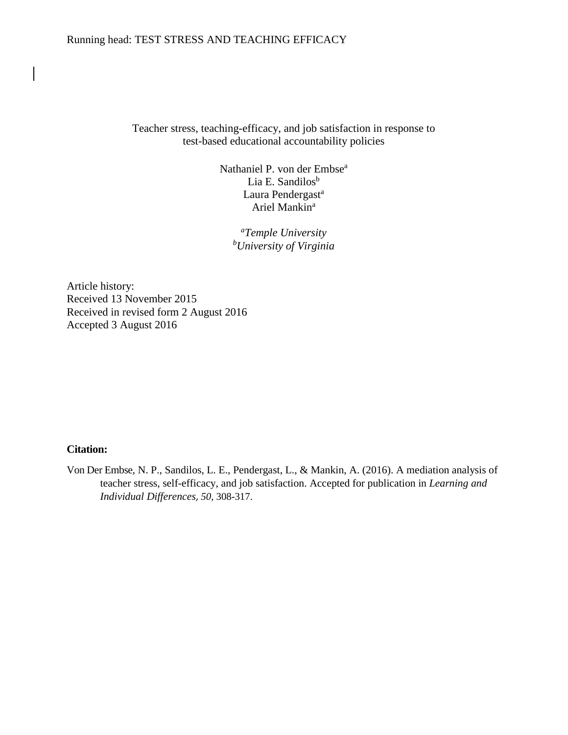## Running head: TEST STRESS AND TEACHING EFFICACY

Teacher stress, teaching-efficacy, and job satisfaction in response to test-based educational accountability policies

> Nathaniel P. von der Embse<sup>a</sup> Lia E. Sandilos<sup>b</sup> Laura Pendergast<sup>a</sup> Ariel Mankin<sup>a</sup>

> > *a Temple University b University of Virginia*

Article history: Received 13 November 2015 Received in revised form 2 August 2016 Accepted 3 August 2016

# **Citation:**

Von Der Embse, N. P., Sandilos, L. E., Pendergast, L., & Mankin, A. (2016). A mediation analysis of teacher stress, self-efficacy, and job satisfaction. Accepted for publication in *Learning and Individual Differences*, *50,* 308-317.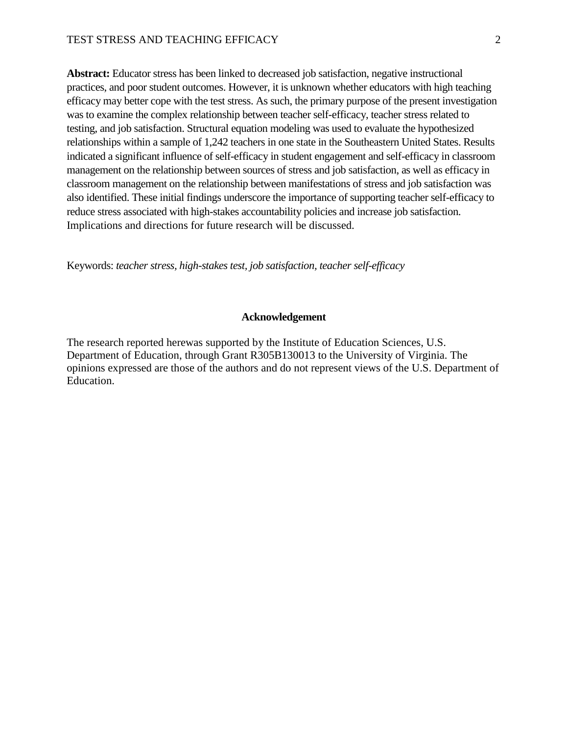**Abstract:** Educator stress has been linked to decreased job satisfaction, negative instructional practices, and poor student outcomes. However, it is unknown whether educators with high teaching efficacy may better cope with the test stress. As such, the primary purpose of the present investigation was to examine the complex relationship between teacher self-efficacy, teacher stress related to testing, and job satisfaction. Structural equation modeling was used to evaluate the hypothesized relationships within a sample of 1,242 teachers in one state in the Southeastern United States. Results indicated a significant influence of self-efficacy in student engagement and self-efficacy in classroom management on the relationship between sources of stress and job satisfaction, as well as efficacy in classroom management on the relationship between manifestations of stress and job satisfaction was also identified. These initial findings underscore the importance of supporting teacher self-efficacy to reduce stress associated with high-stakes accountability policies and increase job satisfaction. Implications and directions for future research will be discussed.

Keywords: *teacher stress, high-stakes test, job satisfaction, teacher self-efficacy*

### **Acknowledgement**

The research reported herewas supported by the Institute of Education Sciences, U.S. Department of Education, through Grant R305B130013 to the University of Virginia. The opinions expressed are those of the authors and do not represent views of the U.S. Department of Education.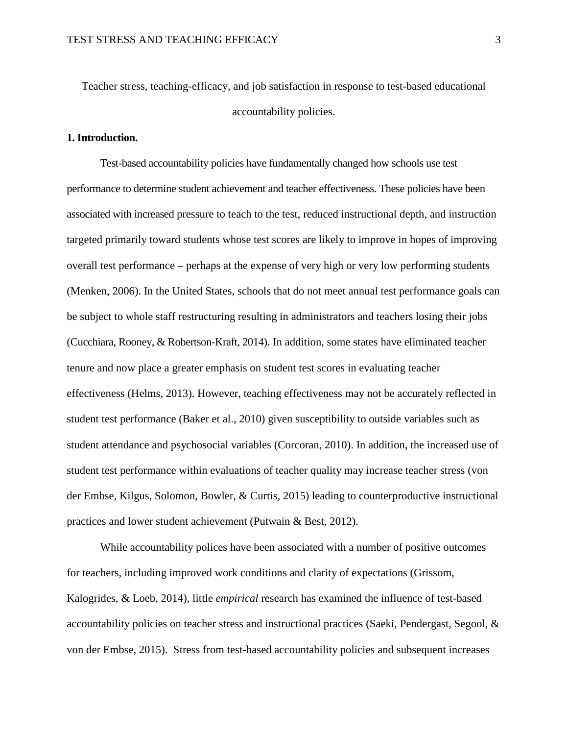Teacher stress, teaching-efficacy, and job satisfaction in response to test-based educational accountability policies.

# **1. Introduction.**

Test-based accountability policies have fundamentally changed how schools use test performance to determine student achievement and teacher effectiveness. These policies have been associated with increased pressure to teach to the test, reduced instructional depth, and instruction targeted primarily toward students whose test scores are likely to improve in hopes of improving overall test performance – perhaps at the expense of very high or very low performing students (Menken, 2006). In the United States, schools that do not meet annual test performance goals can be subject to whole staff restructuring resulting in administrators and teachers losing their jobs (Cucchiara, Rooney, & Robertson-Kraft, 2014). In addition, some states have eliminated teacher tenure and now place a greater emphasis on student test scores in evaluating teacher effectiveness (Helms, 2013). However, teaching effectiveness may not be accurately reflected in student test performance (Baker et al., 2010) given susceptibility to outside variables such as student attendance and psychosocial variables (Corcoran, 2010). In addition, the increased use of student test performance within evaluations of teacher quality may increase teacher stress (von der Embse, Kilgus, Solomon, Bowler, & Curtis, 2015) leading to counterproductive instructional practices and lower student achievement (Putwain & Best, 2012).

While accountability polices have been associated with a number of positive outcomes for teachers, including improved work conditions and clarity of expectations (Grissom, Kalogrides, & Loeb, 2014), little *empirical* research has examined the influence of test-based accountability policies on teacher stress and instructional practices (Saeki, Pendergast, Segool, & von der Embse, 2015). Stress from test-based accountability policies and subsequent increases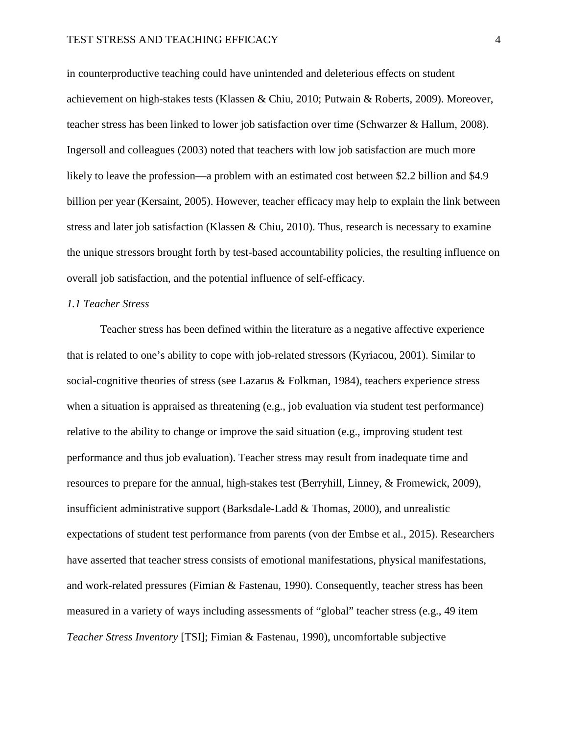in counterproductive teaching could have unintended and deleterious effects on student achievement on high-stakes tests (Klassen & Chiu, 2010; Putwain & Roberts, 2009). Moreover, teacher stress has been linked to lower job satisfaction over time (Schwarzer & Hallum, 2008). Ingersoll and colleagues (2003) noted that teachers with low job satisfaction are much more likely to leave the profession—a problem with an estimated cost between \$2.2 billion and \$4.9 billion per year (Kersaint, 2005). However, teacher efficacy may help to explain the link between stress and later job satisfaction (Klassen & Chiu, 2010). Thus, research is necessary to examine the unique stressors brought forth by test-based accountability policies, the resulting influence on overall job satisfaction, and the potential influence of self-efficacy.

## *1.1 Teacher Stress*

Teacher stress has been defined within the literature as a negative affective experience that is related to one's ability to cope with job-related stressors (Kyriacou, 2001). Similar to social-cognitive theories of stress (see Lazarus & Folkman, 1984), teachers experience stress when a situation is appraised as threatening (e.g., job evaluation via student test performance) relative to the ability to change or improve the said situation (e.g., improving student test performance and thus job evaluation). Teacher stress may result from inadequate time and resources to prepare for the annual, high-stakes test (Berryhill, Linney, & Fromewick, 2009), insufficient administrative support (Barksdale-Ladd  $&$  Thomas, 2000), and unrealistic expectations of student test performance from parents (von der Embse et al., 2015). Researchers have asserted that teacher stress consists of emotional manifestations, physical manifestations, and work-related pressures (Fimian & Fastenau, 1990). Consequently, teacher stress has been measured in a variety of ways including assessments of "global" teacher stress (e.g., 49 item *Teacher Stress Inventory* [TSI]; Fimian & Fastenau, 1990), uncomfortable subjective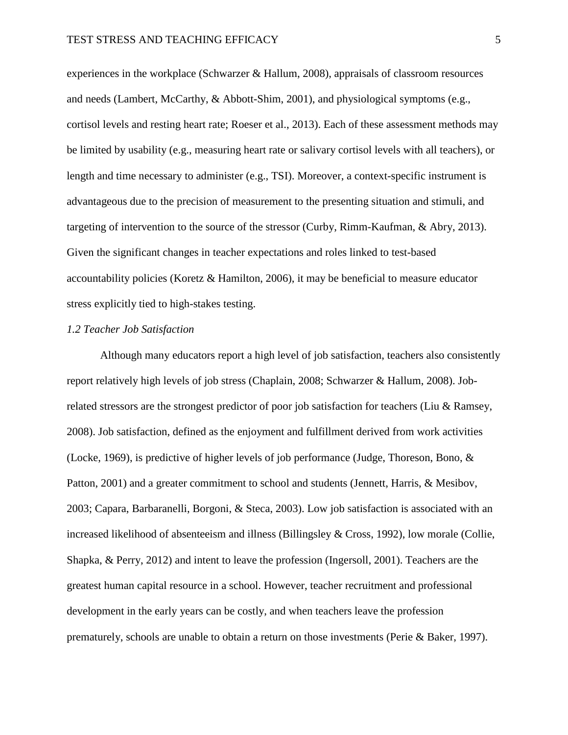experiences in the workplace (Schwarzer & Hallum, 2008), appraisals of classroom resources and needs (Lambert, McCarthy, & Abbott-Shim, 2001), and physiological symptoms (e.g., cortisol levels and resting heart rate; Roeser et al., 2013). Each of these assessment methods may be limited by usability (e.g., measuring heart rate or salivary cortisol levels with all teachers), or length and time necessary to administer (e.g., TSI). Moreover, a context-specific instrument is advantageous due to the precision of measurement to the presenting situation and stimuli, and targeting of intervention to the source of the stressor (Curby, Rimm-Kaufman, & Abry, 2013). Given the significant changes in teacher expectations and roles linked to test-based accountability policies (Koretz & Hamilton, 2006), it may be beneficial to measure educator stress explicitly tied to high-stakes testing.

### *1.2 Teacher Job Satisfaction*

Although many educators report a high level of job satisfaction, teachers also consistently report relatively high levels of job stress (Chaplain, 2008; Schwarzer & Hallum, 2008). Jobrelated stressors are the strongest predictor of poor job satisfaction for teachers (Liu & Ramsey, 2008). Job satisfaction, defined as the enjoyment and fulfillment derived from work activities (Locke, 1969), is predictive of higher levels of job performance (Judge, Thoreson, Bono, & Patton, 2001) and a greater commitment to school and students (Jennett, Harris, & Mesibov, 2003; Capara, Barbaranelli, Borgoni, & Steca, 2003). Low job satisfaction is associated with an increased likelihood of absenteeism and illness (Billingsley & Cross, 1992), low morale (Collie, Shapka, & Perry, 2012) and intent to leave the profession (Ingersoll, 2001). Teachers are the greatest human capital resource in a school. However, teacher recruitment and professional development in the early years can be costly, and when teachers leave the profession prematurely, schools are unable to obtain a return on those investments (Perie & Baker, 1997).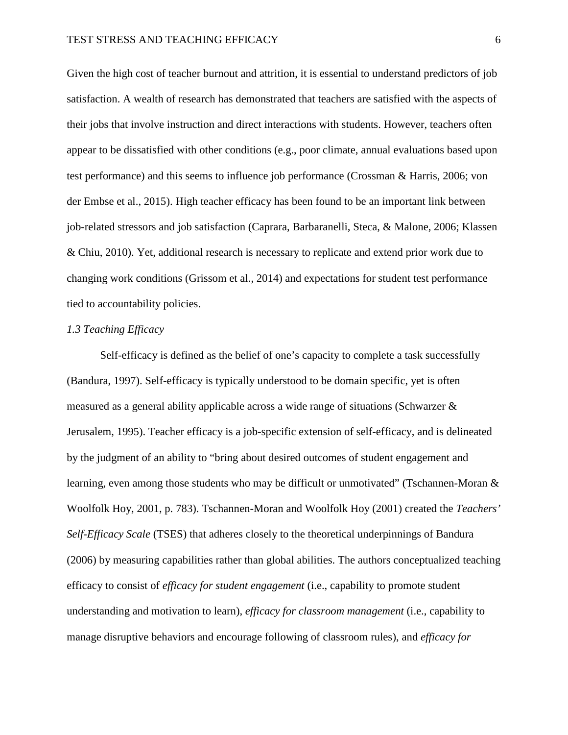Given the high cost of teacher burnout and attrition, it is essential to understand predictors of job satisfaction. A wealth of research has demonstrated that teachers are satisfied with the aspects of their jobs that involve instruction and direct interactions with students. However, teachers often appear to be dissatisfied with other conditions (e.g., poor climate, annual evaluations based upon test performance) and this seems to influence job performance (Crossman & Harris, 2006; von der Embse et al., 2015). High teacher efficacy has been found to be an important link between job-related stressors and job satisfaction (Caprara, Barbaranelli, Steca, & Malone, 2006; Klassen & Chiu, 2010). Yet, additional research is necessary to replicate and extend prior work due to changing work conditions (Grissom et al., 2014) and expectations for student test performance tied to accountability policies.

## *1.3 Teaching Efficacy*

Self-efficacy is defined as the belief of one's capacity to complete a task successfully (Bandura, 1997). Self-efficacy is typically understood to be domain specific, yet is often measured as a general ability applicable across a wide range of situations (Schwarzer & Jerusalem, 1995). Teacher efficacy is a job-specific extension of self-efficacy, and is delineated by the judgment of an ability to "bring about desired outcomes of student engagement and learning, even among those students who may be difficult or unmotivated" (Tschannen-Moran & Woolfolk Hoy, 2001, p. 783). Tschannen-Moran and Woolfolk Hoy (2001) created the *Teachers' Self-Efficacy Scale* (TSES) that adheres closely to the theoretical underpinnings of Bandura (2006) by measuring capabilities rather than global abilities. The authors conceptualized teaching efficacy to consist of *efficacy for student engagement* (i.e., capability to promote student understanding and motivation to learn), *efficacy for classroom management* (i.e., capability to manage disruptive behaviors and encourage following of classroom rules), and *efficacy for*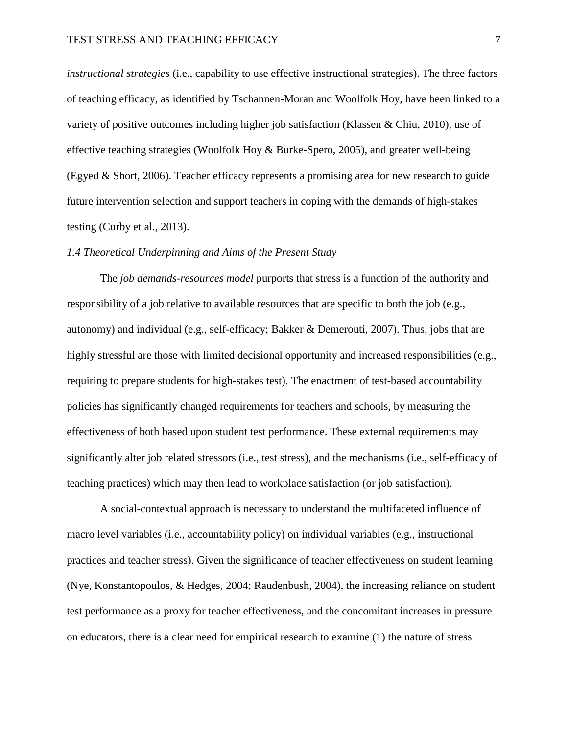*instructional strategies* (i.e., capability to use effective instructional strategies). The three factors of teaching efficacy, as identified by Tschannen-Moran and Woolfolk Hoy, have been linked to a variety of positive outcomes including higher job satisfaction (Klassen & Chiu, 2010), use of effective teaching strategies (Woolfolk Hoy & Burke-Spero, 2005), and greater well-being (Egyed & Short, 2006). Teacher efficacy represents a promising area for new research to guide future intervention selection and support teachers in coping with the demands of high-stakes testing (Curby et al., 2013).

## *1.4 Theoretical Underpinning and Aims of the Present Study*

The *job demands-resources model* purports that stress is a function of the authority and responsibility of a job relative to available resources that are specific to both the job (e.g., autonomy) and individual (e.g., self-efficacy; Bakker & Demerouti, 2007). Thus, jobs that are highly stressful are those with limited decisional opportunity and increased responsibilities (e.g., requiring to prepare students for high-stakes test). The enactment of test-based accountability policies has significantly changed requirements for teachers and schools, by measuring the effectiveness of both based upon student test performance. These external requirements may significantly alter job related stressors (i.e., test stress), and the mechanisms (i.e., self-efficacy of teaching practices) which may then lead to workplace satisfaction (or job satisfaction).

A social-contextual approach is necessary to understand the multifaceted influence of macro level variables (i.e., accountability policy) on individual variables (e.g., instructional practices and teacher stress). Given the significance of teacher effectiveness on student learning (Nye, Konstantopoulos, & Hedges, 2004; Raudenbush, 2004), the increasing reliance on student test performance as a proxy for teacher effectiveness, and the concomitant increases in pressure on educators, there is a clear need for empirical research to examine (1) the nature of stress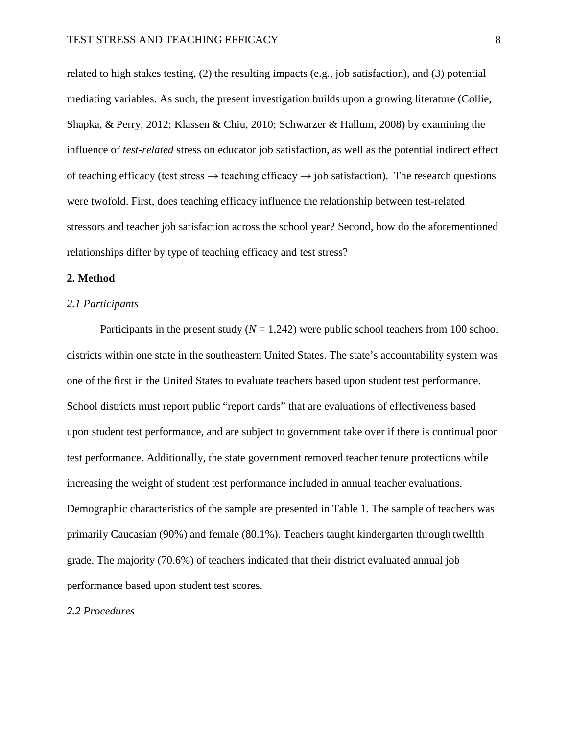related to high stakes testing, (2) the resulting impacts (e.g., job satisfaction), and (3) potential mediating variables. As such, the present investigation builds upon a growing literature (Collie, Shapka, & Perry, 2012; Klassen & Chiu, 2010; Schwarzer & Hallum, 2008) by examining the influence of *test-related* stress on educator job satisfaction, as well as the potential indirect effect of teaching efficacy (test stress  $\rightarrow$  teaching efficacy  $\rightarrow$  job satisfaction). The research questions were twofold. First, does teaching efficacy influence the relationship between test-related stressors and teacher job satisfaction across the school year? Second, how do the aforementioned relationships differ by type of teaching efficacy and test stress?

## **2. Method**

## *2.1 Participants*

Participants in the present study  $(N = 1,242)$  were public school teachers from 100 school districts within one state in the southeastern United States. The state's accountability system was one of the first in the United States to evaluate teachers based upon student test performance. School districts must report public "report cards" that are evaluations of effectiveness based upon student test performance, and are subject to government take over if there is continual poor test performance. Additionally, the state government removed teacher tenure protections while increasing the weight of student test performance included in annual teacher evaluations. Demographic characteristics of the sample are presented in Table 1. The sample of teachers was primarily Caucasian (90%) and female (80.1%). Teachers taught kindergarten through twelfth grade. The majority (70.6%) of teachers indicated that their district evaluated annual job performance based upon student test scores.

*2.2 Procedures*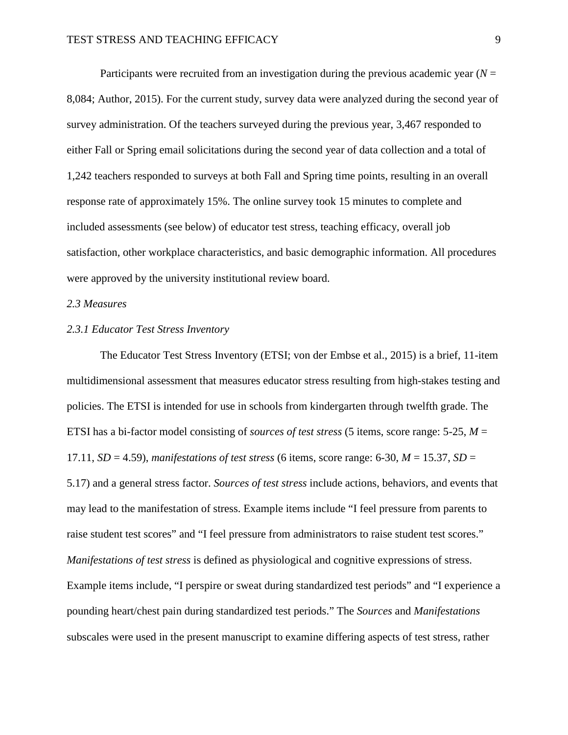Participants were recruited from an investigation during the previous academic year (*N* = 8,084; Author, 2015). For the current study, survey data were analyzed during the second year of survey administration. Of the teachers surveyed during the previous year, 3,467 responded to either Fall or Spring email solicitations during the second year of data collection and a total of 1,242 teachers responded to surveys at both Fall and Spring time points, resulting in an overall response rate of approximately 15%. The online survey took 15 minutes to complete and included assessments (see below) of educator test stress, teaching efficacy, overall job satisfaction, other workplace characteristics, and basic demographic information. All procedures were approved by the university institutional review board.

## *2.3 Measures*

### *2.3.1 Educator Test Stress Inventory*

The Educator Test Stress Inventory (ETSI; von der Embse et al., 2015) is a brief, 11-item multidimensional assessment that measures educator stress resulting from high-stakes testing and policies. The ETSI is intended for use in schools from kindergarten through twelfth grade. The ETSI has a bi-factor model consisting of *sources of test stress* (5 items, score range: 5-25, *M* = 17.11,  $SD = 4.59$ ), *manifestations of test stress* (6 items, score range: 6-30,  $M = 15.37$ ,  $SD =$ 5.17) and a general stress factor. *Sources of test stress* include actions, behaviors, and events that may lead to the manifestation of stress. Example items include "I feel pressure from parents to raise student test scores" and "I feel pressure from administrators to raise student test scores." *Manifestations of test stress* is defined as physiological and cognitive expressions of stress. Example items include, "I perspire or sweat during standardized test periods" and "I experience a pounding heart/chest pain during standardized test periods." The *Sources* and *Manifestations*  subscales were used in the present manuscript to examine differing aspects of test stress, rather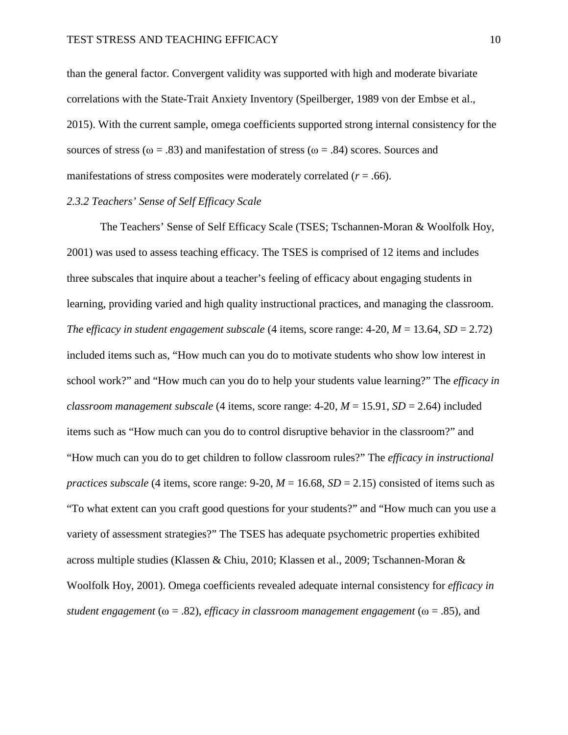than the general factor. Convergent validity was supported with high and moderate bivariate correlations with the State-Trait Anxiety Inventory (Speilberger, 1989 von der Embse et al., 2015). With the current sample, omega coefficients supported strong internal consistency for the sources of stress ( $\omega = .83$ ) and manifestation of stress ( $\omega = .84$ ) scores. Sources and manifestations of stress composites were moderately correlated  $(r = .66)$ .

### *2.3.2 Teachers' Sense of Self Efficacy Scale*

The Teachers' Sense of Self Efficacy Scale (TSES; Tschannen-Moran & Woolfolk Hoy, 2001) was used to assess teaching efficacy. The TSES is comprised of 12 items and includes three subscales that inquire about a teacher's feeling of efficacy about engaging students in learning, providing varied and high quality instructional practices, and managing the classroom. *The efficacy in student engagement subscale* (4 items, score range:  $4\n-20$ ,  $M = 13.64$ ,  $SD = 2.72$ ) included items such as, "How much can you do to motivate students who show low interest in school work?" and "How much can you do to help your students value learning?" The *efficacy in classroom management subscale* (4 items, score range:  $4\n-20$ ,  $M = 15.91$ ,  $SD = 2.64$ ) included items such as "How much can you do to control disruptive behavior in the classroom?" and "How much can you do to get children to follow classroom rules?" The *efficacy in instructional practices subscale* (4 items, score range:  $9-20$ ,  $M = 16.68$ ,  $SD = 2.15$ ) consisted of items such as "To what extent can you craft good questions for your students?" and "How much can you use a variety of assessment strategies?" The TSES has adequate psychometric properties exhibited across multiple studies (Klassen & Chiu, 2010; Klassen et al., 2009; Tschannen-Moran & Woolfolk Hoy, 2001). Omega coefficients revealed adequate internal consistency for *efficacy in student engagement* (ω = .82), *efficacy in classroom management engagement* (ω = .85), and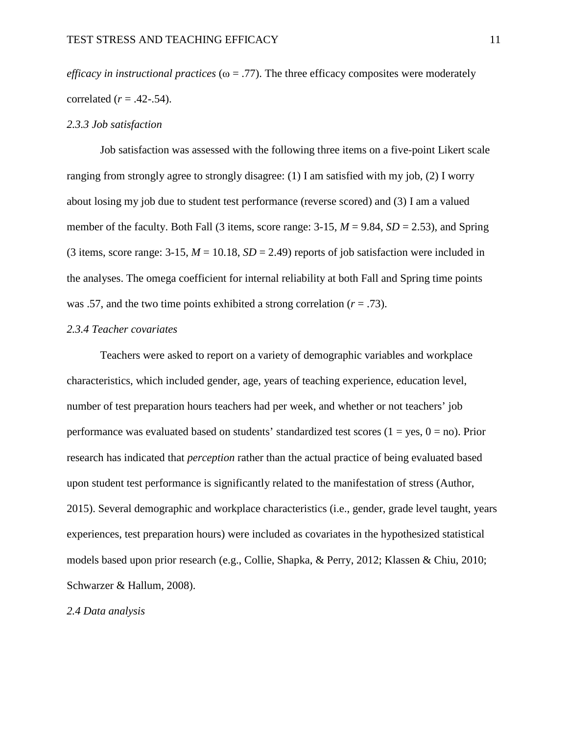*efficacy in instructional practices* ( $\omega = .77$ ). The three efficacy composites were moderately correlated  $(r = .42-.54)$ .

#### *2.3.3 Job satisfaction*

Job satisfaction was assessed with the following three items on a five-point Likert scale ranging from strongly agree to strongly disagree: (1) I am satisfied with my job, (2) I worry about losing my job due to student test performance (reverse scored) and (3) I am a valued member of the faculty. Both Fall (3 items, score range:  $3-15$ ,  $M = 9.84$ ,  $SD = 2.53$ ), and Spring (3 items, score range:  $3-15$ ,  $M = 10.18$ ,  $SD = 2.49$ ) reports of job satisfaction were included in the analyses. The omega coefficient for internal reliability at both Fall and Spring time points was .57, and the two time points exhibited a strong correlation  $(r = .73)$ .

#### *2.3.4 Teacher covariates*

Teachers were asked to report on a variety of demographic variables and workplace characteristics, which included gender, age, years of teaching experience, education level, number of test preparation hours teachers had per week, and whether or not teachers' job performance was evaluated based on students' standardized test scores  $(1 = yes, 0 = no)$ . Prior research has indicated that *perception* rather than the actual practice of being evaluated based upon student test performance is significantly related to the manifestation of stress (Author, 2015). Several demographic and workplace characteristics (i.e., gender, grade level taught, years experiences, test preparation hours) were included as covariates in the hypothesized statistical models based upon prior research (e.g., Collie, Shapka, & Perry, 2012; Klassen & Chiu, 2010; Schwarzer & Hallum, 2008).

*2.4 Data analysis*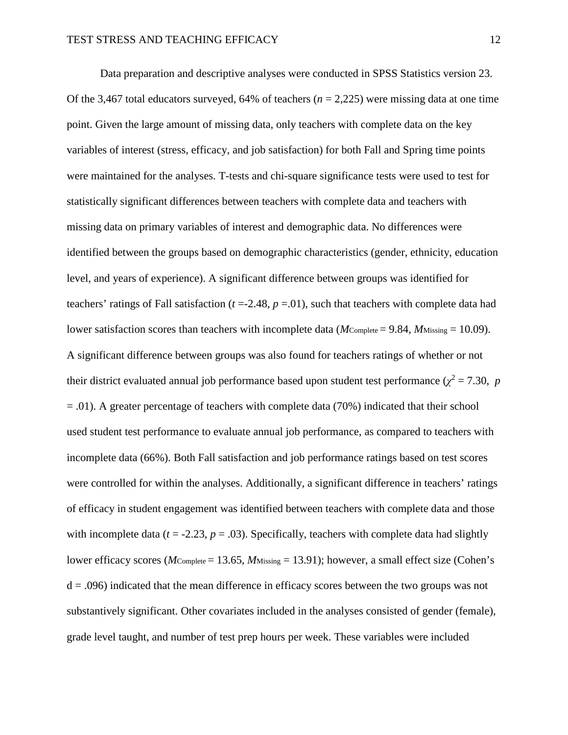Data preparation and descriptive analyses were conducted in SPSS Statistics version 23. Of the 3,467 total educators surveyed, 64% of teachers ( $n = 2,225$ ) were missing data at one time point. Given the large amount of missing data, only teachers with complete data on the key variables of interest (stress, efficacy, and job satisfaction) for both Fall and Spring time points were maintained for the analyses. T-tests and chi-square significance tests were used to test for statistically significant differences between teachers with complete data and teachers with missing data on primary variables of interest and demographic data. No differences were identified between the groups based on demographic characteristics (gender, ethnicity, education level, and years of experience). A significant difference between groups was identified for teachers' ratings of Fall satisfaction  $(t = -2.48, p = 0.01)$ , such that teachers with complete data had lower satisfaction scores than teachers with incomplete data (*M*Complete = 9.84, *M*Missing = 10.09). A significant difference between groups was also found for teachers ratings of whether or not their district evaluated annual job performance based upon student test performance ( $\chi^2 = 7.30$ , *p*  $=$  .01). A greater percentage of teachers with complete data (70%) indicated that their school used student test performance to evaluate annual job performance, as compared to teachers with incomplete data (66%). Both Fall satisfaction and job performance ratings based on test scores were controlled for within the analyses. Additionally, a significant difference in teachers' ratings of efficacy in student engagement was identified between teachers with complete data and those with incomplete data ( $t = -2.23$ ,  $p = .03$ ). Specifically, teachers with complete data had slightly lower efficacy scores (*M*Complete = 13.65, *M*Missing = 13.91); however, a small effect size (Cohen's  $d = .096$ ) indicated that the mean difference in efficacy scores between the two groups was not substantively significant. Other covariates included in the analyses consisted of gender (female), grade level taught, and number of test prep hours per week. These variables were included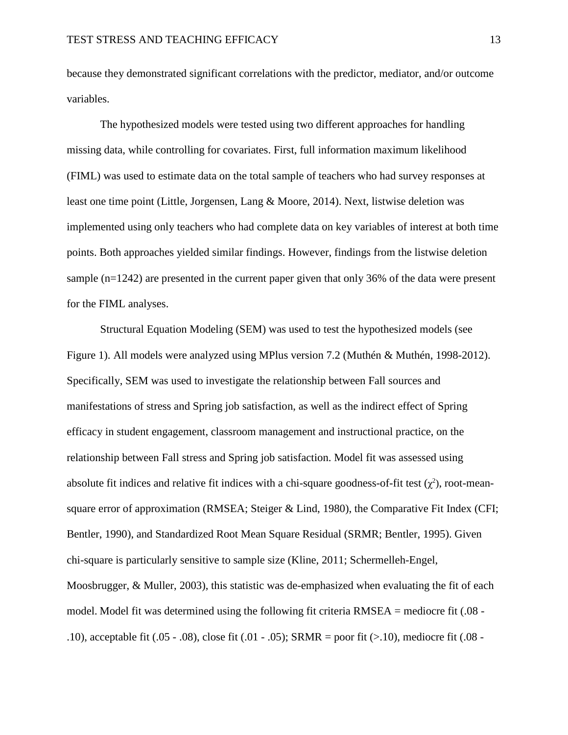because they demonstrated significant correlations with the predictor, mediator, and/or outcome variables.

The hypothesized models were tested using two different approaches for handling missing data, while controlling for covariates. First, full information maximum likelihood (FIML) was used to estimate data on the total sample of teachers who had survey responses at least one time point (Little, Jorgensen, Lang & Moore, 2014). Next, listwise deletion was implemented using only teachers who had complete data on key variables of interest at both time points. Both approaches yielded similar findings. However, findings from the listwise deletion sample (n=1242) are presented in the current paper given that only 36% of the data were present for the FIML analyses.

Structural Equation Modeling (SEM) was used to test the hypothesized models (see Figure 1). All models were analyzed using MPlus version 7.2 (Muthén & Muthén, 1998-2012). Specifically, SEM was used to investigate the relationship between Fall sources and manifestations of stress and Spring job satisfaction, as well as the indirect effect of Spring efficacy in student engagement, classroom management and instructional practice, on the relationship between Fall stress and Spring job satisfaction. Model fit was assessed using absolute fit indices and relative fit indices with a chi-square goodness-of-fit test  $(\chi^2)$ , root-meansquare error of approximation (RMSEA; Steiger & Lind, 1980), the Comparative Fit Index (CFI; Bentler, 1990), and Standardized Root Mean Square Residual (SRMR; Bentler, 1995). Given chi-square is particularly sensitive to sample size (Kline, 2011; Schermelleh-Engel, Moosbrugger, & Muller, 2003), this statistic was de-emphasized when evaluating the fit of each model. Model fit was determined using the following fit criteria RMSEA = mediocre fit (.08 - .10), acceptable fit  $(.05 - .08)$ , close fit  $(.01 - .05)$ ; SRMR = poor fit  $(> 10)$ , mediocre fit  $(.08 - .08)$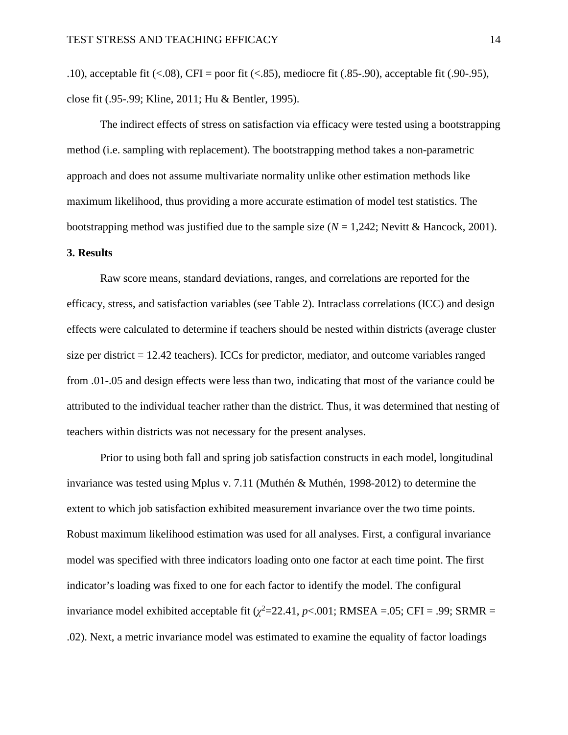The indirect effects of stress on satisfaction via efficacy were tested using a bootstrapping method (i.e. sampling with replacement). The bootstrapping method takes a non-parametric approach and does not assume multivariate normality unlike other estimation methods like maximum likelihood, thus providing a more accurate estimation of model test statistics. The bootstrapping method was justified due to the sample size  $(N = 1,242)$ ; Nevitt & Hancock, 2001).

## **3. Results**

Raw score means, standard deviations, ranges, and correlations are reported for the efficacy, stress, and satisfaction variables (see Table 2). Intraclass correlations (ICC) and design effects were calculated to determine if teachers should be nested within districts (average cluster size per district = 12.42 teachers). ICCs for predictor, mediator, and outcome variables ranged from .01-.05 and design effects were less than two, indicating that most of the variance could be attributed to the individual teacher rather than the district. Thus, it was determined that nesting of teachers within districts was not necessary for the present analyses.

Prior to using both fall and spring job satisfaction constructs in each model, longitudinal invariance was tested using Mplus v. 7.11 (Muthén & Muthén, 1998-2012) to determine the extent to which job satisfaction exhibited measurement invariance over the two time points. Robust maximum likelihood estimation was used for all analyses. First, a configural invariance model was specified with three indicators loading onto one factor at each time point. The first indicator's loading was fixed to one for each factor to identify the model. The configural invariance model exhibited acceptable fit  $(\chi^2=22.41, p<0.01; RMSEA = 0.05; CFI = .99; SRMR =$ .02). Next, a metric invariance model was estimated to examine the equality of factor loadings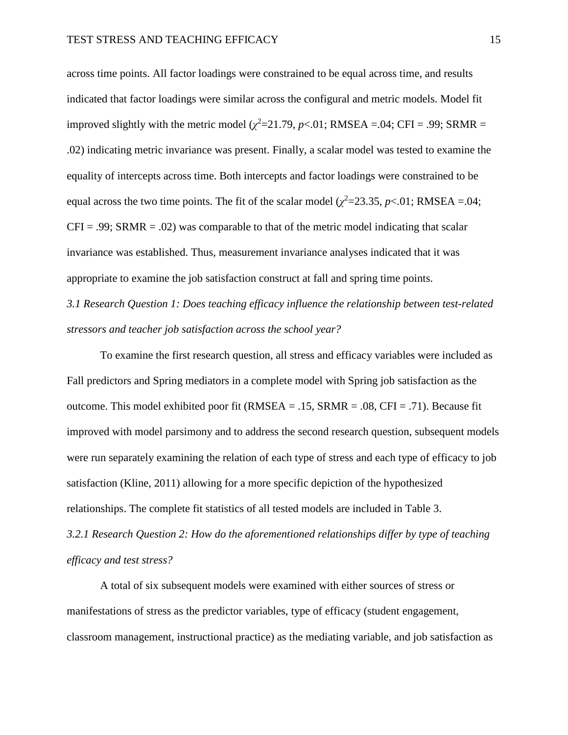across time points. All factor loadings were constrained to be equal across time, and results indicated that factor loadings were similar across the configural and metric models. Model fit improved slightly with the metric model  $(\chi^2=21.79, p<.01; RMSEA = .04; CFI = .99; SRMR =$ .02) indicating metric invariance was present. Finally, a scalar model was tested to examine the equality of intercepts across time. Both intercepts and factor loadings were constrained to be equal across the two time points. The fit of the scalar model  $(\chi^2 = 23.35, p < 0.01;$  RMSEA = .04;  $CFI = .99$ ; SRMR = .02) was comparable to that of the metric model indicating that scalar invariance was established. Thus, measurement invariance analyses indicated that it was appropriate to examine the job satisfaction construct at fall and spring time points.

*3.1 Research Question 1: Does teaching efficacy influence the relationship between test-related stressors and teacher job satisfaction across the school year?* 

To examine the first research question, all stress and efficacy variables were included as Fall predictors and Spring mediators in a complete model with Spring job satisfaction as the outcome. This model exhibited poor fit (RMSEA = .15, SRMR = .08, CFI = .71). Because fit improved with model parsimony and to address the second research question, subsequent models were run separately examining the relation of each type of stress and each type of efficacy to job satisfaction (Kline, 2011) allowing for a more specific depiction of the hypothesized relationships. The complete fit statistics of all tested models are included in Table 3. *3.2.1 Research Question 2: How do the aforementioned relationships differ by type of teaching efficacy and test stress?*

A total of six subsequent models were examined with either sources of stress or manifestations of stress as the predictor variables, type of efficacy (student engagement, classroom management, instructional practice) as the mediating variable, and job satisfaction as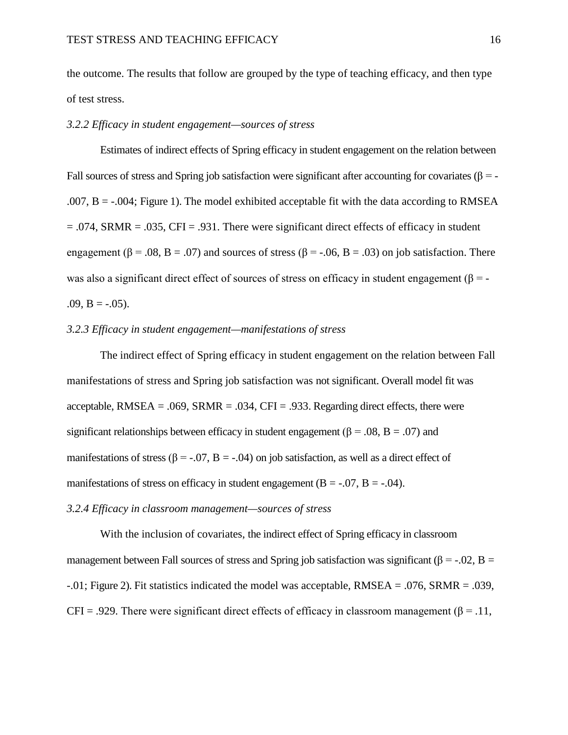the outcome. The results that follow are grouped by the type of teaching efficacy, and then type of test stress.

## *3.2.2 Efficacy in student engagement—sources of stress*

Estimates of indirect effects of Spring efficacy in student engagement on the relation between Fall sources of stress and Spring job satisfaction were significant after accounting for covariates ( $\beta = -$ .007,  $B = -0.004$ ; Figure 1). The model exhibited acceptable fit with the data according to RMSEA  $= .074$ , SRMR  $= .035$ , CFI  $= .931$ . There were significant direct effects of efficacy in student engagement ( $\beta$  = .08, B = .07) and sources of stress ( $\beta$  = -.06, B = .03) on job satisfaction. There was also a significant direct effect of sources of stress on efficacy in student engagement ( $\beta$  = - $.09, B = -.05$ .

### *3.2.3 Efficacy in student engagement—manifestations of stress*

The indirect effect of Spring efficacy in student engagement on the relation between Fall manifestations of stress and Spring job satisfaction was not significant. Overall model fit was acceptable, RMSEA = .069, SRMR = .034, CFI = .933. Regarding direct effects, there were significant relationships between efficacy in student engagement ( $\beta$  = .08, B = .07) and manifestations of stress ( $\beta$  = -.07, B = -.04) on job satisfaction, as well as a direct effect of manifestations of stress on efficacy in student engagement ( $B = -0.07$ ,  $B = -0.04$ ).

## *3.2.4 Efficacy in classroom management—sources of stress*

With the inclusion of covariates, the indirect effect of Spring efficacy in classroom management between Fall sources of stress and Spring job satisfaction was significant ( $\beta = -0.02$ ,  $\beta =$  $-0.01$ ; Figure 2). Fit statistics indicated the model was acceptable, RMSEA = .076, SRMR = .039, CFI = .929. There were significant direct effects of efficacy in classroom management ( $\beta$  = .11,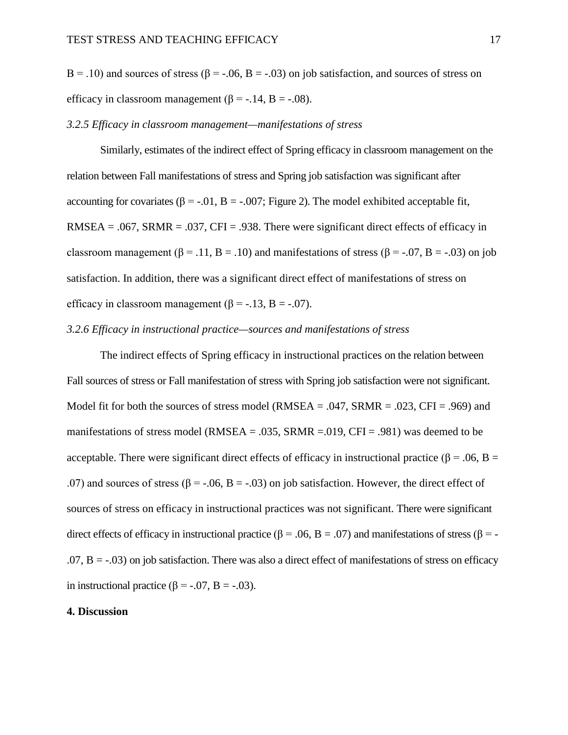B = .10) and sources of stress ( $\beta$  = -.06, B = -.03) on job satisfaction, and sources of stress on efficacy in classroom management ( $\beta$  = -.14, B = -.08).

#### *3.2.5 Efficacy in classroom management—manifestations of stress*

Similarly, estimates of the indirect effect of Spring efficacy in classroom management on the relation between Fall manifestations of stress and Spring job satisfaction was significant after accounting for covariates ( $\beta = -0.01$ ,  $B = -0.007$ ; Figure 2). The model exhibited acceptable fit, RMSEA = .067, SRMR = .037, CFI = .938. There were significant direct effects of efficacy in classroom management ( $\beta$  = .11, B = .10) and manifestations of stress ( $\beta$  = -.07, B = -.03) on job satisfaction. In addition, there was a significant direct effect of manifestations of stress on efficacy in classroom management  $(β = -.13, B = -.07)$ .

## *3.2.6 Efficacy in instructional practice—sources and manifestations of stress*

The indirect effects of Spring efficacy in instructional practices on the relation between Fall sources of stress or Fall manifestation of stress with Spring job satisfaction were not significant. Model fit for both the sources of stress model (RMSEA = .047, SRMR = .023, CFI = .969) and manifestations of stress model ( $RMSEA = .035$ ,  $SRMR = .019$ ,  $CFI = .981$ ) was deemed to be acceptable. There were significant direct effects of efficacy in instructional practice ( $\beta$  = .06, B = .07) and sources of stress ( $\beta$  = -.06, B = -.03) on job satisfaction. However, the direct effect of sources of stress on efficacy in instructional practices was not significant. There were significant direct effects of efficacy in instructional practice (β = .06, B = .07) and manifestations of stress (β = - $.07, B = -.03$ ) on job satisfaction. There was also a direct effect of manifestations of stress on efficacy in instructional practice ( $β = -.07$ ,  $B = -.03$ ).

### **4. Discussion**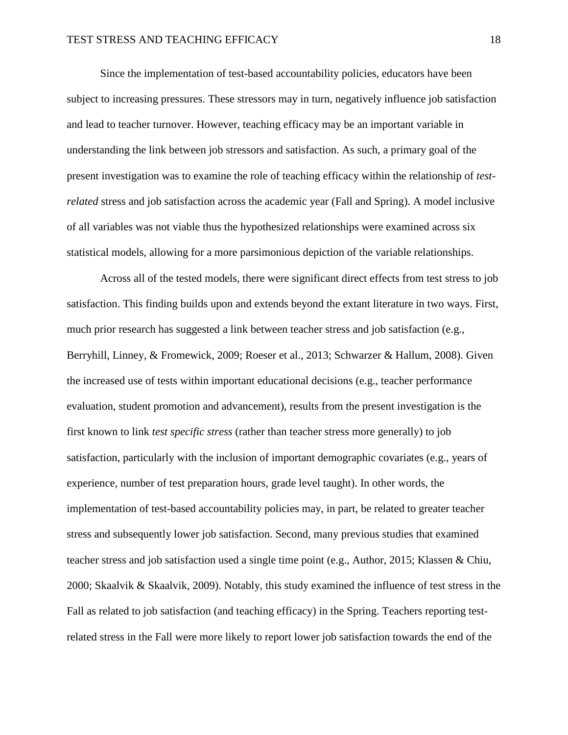Since the implementation of test-based accountability policies, educators have been subject to increasing pressures. These stressors may in turn, negatively influence job satisfaction and lead to teacher turnover. However, teaching efficacy may be an important variable in understanding the link between job stressors and satisfaction. As such, a primary goal of the present investigation was to examine the role of teaching efficacy within the relationship of *testrelated* stress and job satisfaction across the academic year (Fall and Spring). A model inclusive of all variables was not viable thus the hypothesized relationships were examined across six statistical models, allowing for a more parsimonious depiction of the variable relationships.

Across all of the tested models, there were significant direct effects from test stress to job satisfaction. This finding builds upon and extends beyond the extant literature in two ways. First, much prior research has suggested a link between teacher stress and job satisfaction (e.g., Berryhill, Linney, & Fromewick, 2009; Roeser et al., 2013; Schwarzer & Hallum, 2008). Given the increased use of tests within important educational decisions (e.g., teacher performance evaluation, student promotion and advancement), results from the present investigation is the first known to link *test specific stress* (rather than teacher stress more generally) to job satisfaction, particularly with the inclusion of important demographic covariates (e.g., years of experience, number of test preparation hours, grade level taught). In other words, the implementation of test-based accountability policies may, in part, be related to greater teacher stress and subsequently lower job satisfaction. Second, many previous studies that examined teacher stress and job satisfaction used a single time point (e.g., Author, 2015; Klassen & Chiu, 2000; Skaalvik & Skaalvik, 2009). Notably, this study examined the influence of test stress in the Fall as related to job satisfaction (and teaching efficacy) in the Spring. Teachers reporting testrelated stress in the Fall were more likely to report lower job satisfaction towards the end of the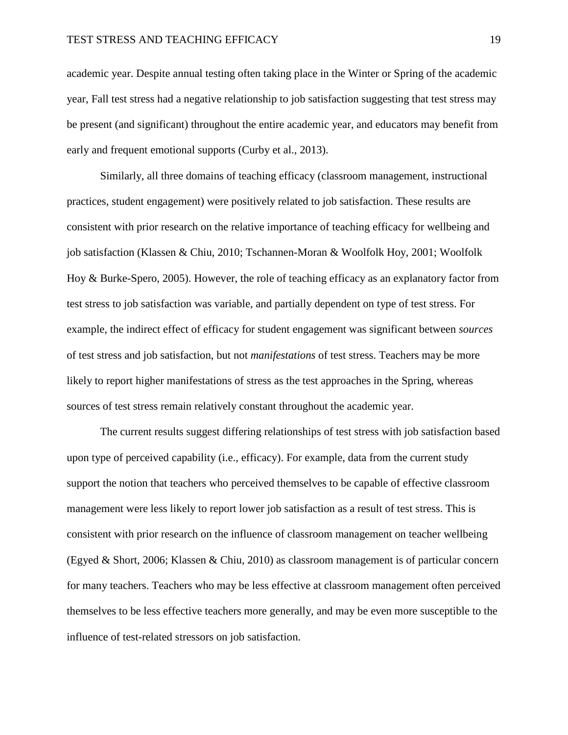academic year. Despite annual testing often taking place in the Winter or Spring of the academic year, Fall test stress had a negative relationship to job satisfaction suggesting that test stress may be present (and significant) throughout the entire academic year, and educators may benefit from early and frequent emotional supports (Curby et al., 2013).

Similarly, all three domains of teaching efficacy (classroom management, instructional practices, student engagement) were positively related to job satisfaction. These results are consistent with prior research on the relative importance of teaching efficacy for wellbeing and job satisfaction (Klassen & Chiu, 2010; Tschannen-Moran & Woolfolk Hoy, 2001; Woolfolk Hoy & Burke-Spero, 2005). However, the role of teaching efficacy as an explanatory factor from test stress to job satisfaction was variable, and partially dependent on type of test stress. For example, the indirect effect of efficacy for student engagement was significant between *sources*  of test stress and job satisfaction, but not *manifestations* of test stress. Teachers may be more likely to report higher manifestations of stress as the test approaches in the Spring, whereas sources of test stress remain relatively constant throughout the academic year.

The current results suggest differing relationships of test stress with job satisfaction based upon type of perceived capability (i.e., efficacy). For example, data from the current study support the notion that teachers who perceived themselves to be capable of effective classroom management were less likely to report lower job satisfaction as a result of test stress. This is consistent with prior research on the influence of classroom management on teacher wellbeing (Egyed & Short, 2006; Klassen & Chiu, 2010) as classroom management is of particular concern for many teachers. Teachers who may be less effective at classroom management often perceived themselves to be less effective teachers more generally, and may be even more susceptible to the influence of test-related stressors on job satisfaction.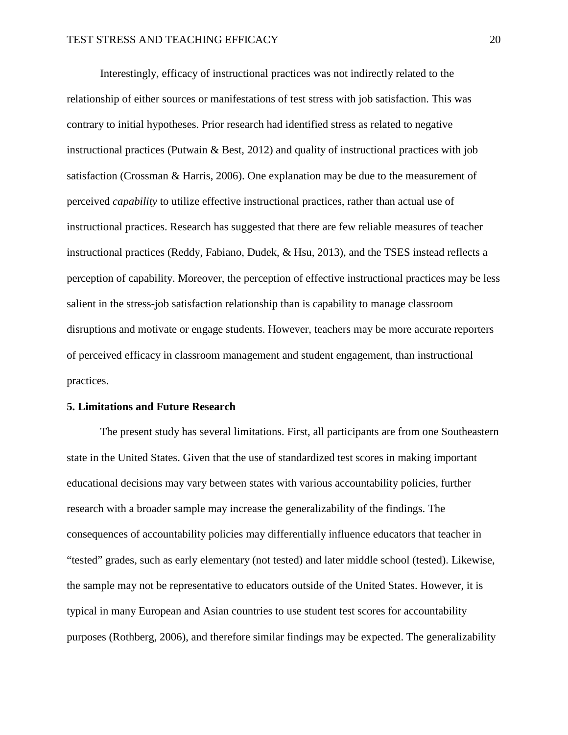Interestingly, efficacy of instructional practices was not indirectly related to the relationship of either sources or manifestations of test stress with job satisfaction. This was contrary to initial hypotheses. Prior research had identified stress as related to negative instructional practices (Putwain & Best, 2012) and quality of instructional practices with job satisfaction (Crossman & Harris, 2006). One explanation may be due to the measurement of perceived *capability* to utilize effective instructional practices, rather than actual use of instructional practices. Research has suggested that there are few reliable measures of teacher instructional practices (Reddy, Fabiano, Dudek, & Hsu, 2013), and the TSES instead reflects a perception of capability. Moreover, the perception of effective instructional practices may be less salient in the stress-job satisfaction relationship than is capability to manage classroom disruptions and motivate or engage students. However, teachers may be more accurate reporters of perceived efficacy in classroom management and student engagement, than instructional practices.

#### **5. Limitations and Future Research**

The present study has several limitations. First, all participants are from one Southeastern state in the United States. Given that the use of standardized test scores in making important educational decisions may vary between states with various accountability policies, further research with a broader sample may increase the generalizability of the findings. The consequences of accountability policies may differentially influence educators that teacher in "tested" grades, such as early elementary (not tested) and later middle school (tested). Likewise, the sample may not be representative to educators outside of the United States. However, it is typical in many European and Asian countries to use student test scores for accountability purposes (Rothberg, 2006), and therefore similar findings may be expected. The generalizability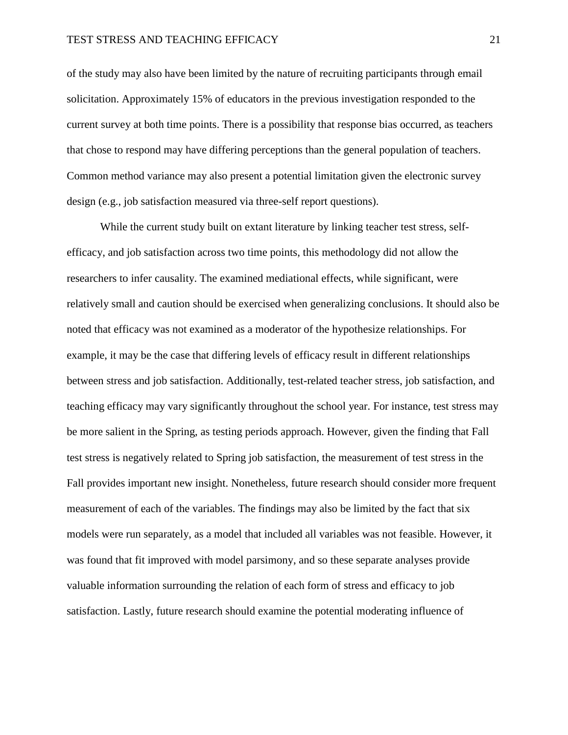of the study may also have been limited by the nature of recruiting participants through email solicitation. Approximately 15% of educators in the previous investigation responded to the current survey at both time points. There is a possibility that response bias occurred, as teachers that chose to respond may have differing perceptions than the general population of teachers. Common method variance may also present a potential limitation given the electronic survey design (e.g., job satisfaction measured via three-self report questions).

While the current study built on extant literature by linking teacher test stress, selfefficacy, and job satisfaction across two time points, this methodology did not allow the researchers to infer causality. The examined mediational effects, while significant, were relatively small and caution should be exercised when generalizing conclusions. It should also be noted that efficacy was not examined as a moderator of the hypothesize relationships. For example, it may be the case that differing levels of efficacy result in different relationships between stress and job satisfaction. Additionally, test-related teacher stress, job satisfaction, and teaching efficacy may vary significantly throughout the school year. For instance, test stress may be more salient in the Spring, as testing periods approach. However, given the finding that Fall test stress is negatively related to Spring job satisfaction, the measurement of test stress in the Fall provides important new insight. Nonetheless, future research should consider more frequent measurement of each of the variables. The findings may also be limited by the fact that six models were run separately, as a model that included all variables was not feasible. However, it was found that fit improved with model parsimony, and so these separate analyses provide valuable information surrounding the relation of each form of stress and efficacy to job satisfaction. Lastly, future research should examine the potential moderating influence of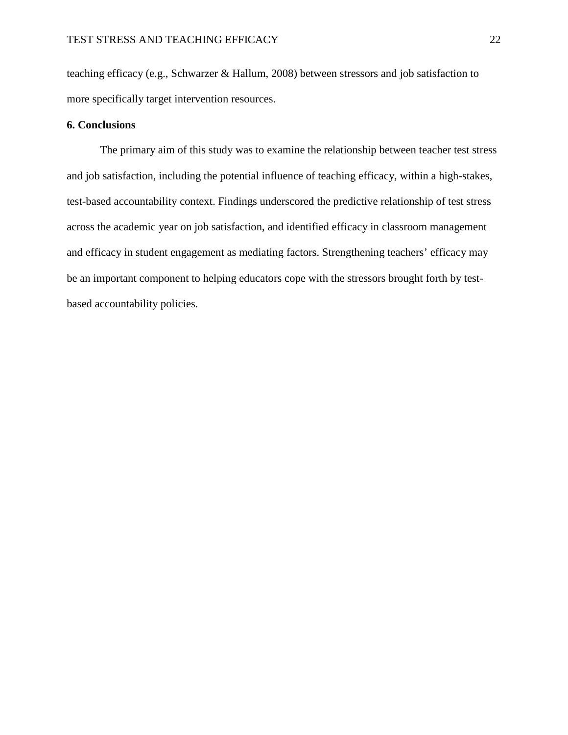teaching efficacy (e.g., Schwarzer & Hallum, 2008) between stressors and job satisfaction to more specifically target intervention resources.

## **6. Conclusions**

The primary aim of this study was to examine the relationship between teacher test stress and job satisfaction, including the potential influence of teaching efficacy, within a high-stakes, test-based accountability context. Findings underscored the predictive relationship of test stress across the academic year on job satisfaction, and identified efficacy in classroom management and efficacy in student engagement as mediating factors. Strengthening teachers' efficacy may be an important component to helping educators cope with the stressors brought forth by testbased accountability policies.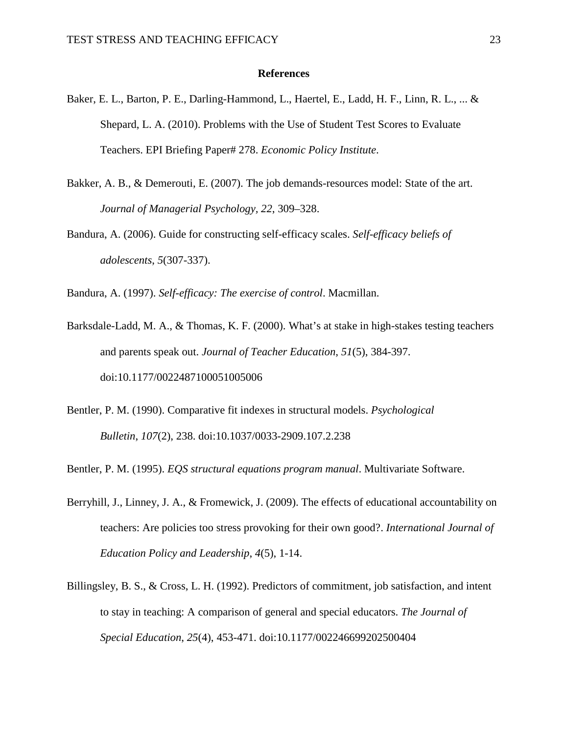#### **References**

- Baker, E. L., Barton, P. E., Darling-Hammond, L., Haertel, E., Ladd, H. F., Linn, R. L., ... & Shepard, L. A. (2010). Problems with the Use of Student Test Scores to Evaluate Teachers. EPI Briefing Paper# 278. *Economic Policy Institute*.
- Bakker, A. B., & Demerouti, E. (2007). The job demands-resources model: State of the art. *Journal of Managerial Psychology, 22*, 309–328.
- Bandura, A. (2006). Guide for constructing self-efficacy scales. *Self-efficacy beliefs of adolescents*, *5*(307-337).

Bandura, A. (1997). *Self-efficacy: The exercise of control*. Macmillan.

- Barksdale-Ladd, M. A., & Thomas, K. F. (2000). What's at stake in high-stakes testing teachers and parents speak out. *Journal of Teacher Education*, *51*(5), 384-397. doi:10.1177/0022487100051005006
- Bentler, P. M. (1990). Comparative fit indexes in structural models. *Psychological Bulletin*, *107*(2), 238. doi:10.1037/0033-2909.107.2.238

Bentler, P. M. (1995). *EQS structural equations program manual*. Multivariate Software.

- Berryhill, J., Linney, J. A., & Fromewick, J. (2009). The effects of educational accountability on teachers: Are policies too stress provoking for their own good?. *International Journal of Education Policy and Leadership*, *4*(5), 1-14.
- Billingsley, B. S., & Cross, L. H. (1992). Predictors of commitment, job satisfaction, and intent to stay in teaching: A comparison of general and special educators. *The Journal of Special Education*, *25*(4), 453-471. doi:10.1177/002246699202500404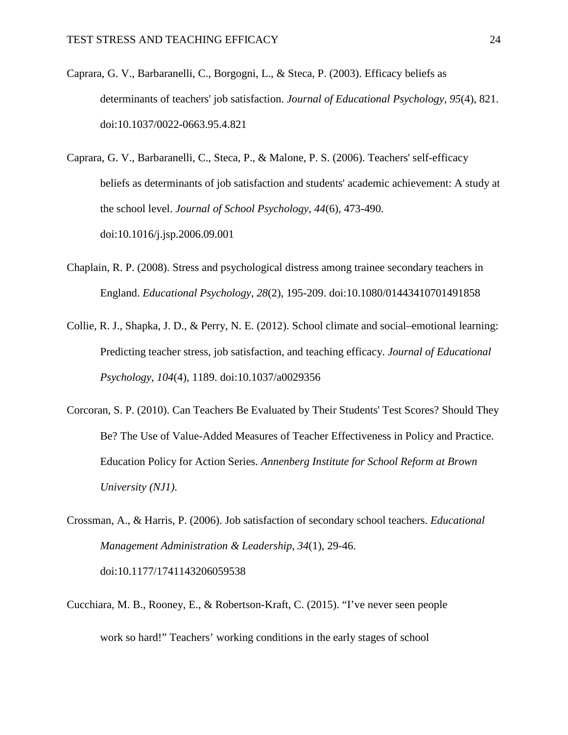- Caprara, G. V., Barbaranelli, C., Borgogni, L., & Steca, P. (2003). Efficacy beliefs as determinants of teachers' job satisfaction. *Journal of Educational Psychology*, *95*(4), 821. doi:10.1037/0022-0663.95.4.821
- Caprara, G. V., Barbaranelli, C., Steca, P., & Malone, P. S. (2006). Teachers' self-efficacy beliefs as determinants of job satisfaction and students' academic achievement: A study at the school level. *Journal of School Psychology*, *44*(6), 473-490. doi:10.1016/j.jsp.2006.09.001
- Chaplain, R. P. (2008). Stress and psychological distress among trainee secondary teachers in England. *Educational Psychology*, *28*(2), 195-209. doi:10.1080/01443410701491858
- Collie, R. J., Shapka, J. D., & Perry, N. E. (2012). School climate and social–emotional learning: Predicting teacher stress, job satisfaction, and teaching efficacy. *Journal of Educational Psychology*, *104*(4), 1189. doi:10.1037/a0029356
- Corcoran, S. P. (2010). Can Teachers Be Evaluated by Their Students' Test Scores? Should They Be? The Use of Value-Added Measures of Teacher Effectiveness in Policy and Practice. Education Policy for Action Series. *Annenberg Institute for School Reform at Brown University (NJ1)*.
- Crossman, A., & Harris, P. (2006). Job satisfaction of secondary school teachers. *Educational Management Administration & Leadership*, *34*(1), 29-46. doi:10.1177/1741143206059538
- Cucchiara, M. B., Rooney, E., & Robertson-Kraft, C. (2015). "I've never seen people work so hard!" Teachers' working conditions in the early stages of school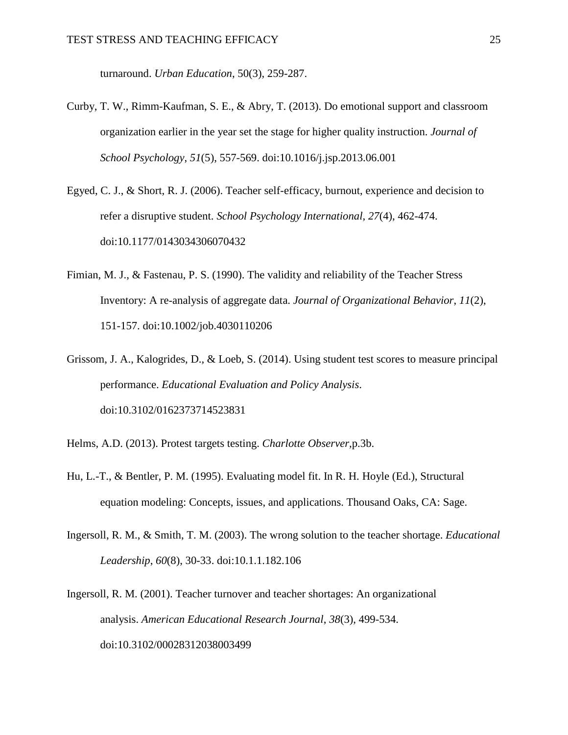turnaround. *Urban Education*, 50(3), 259-287.

- Curby, T. W., Rimm-Kaufman, S. E., & Abry, T. (2013). Do emotional support and classroom organization earlier in the year set the stage for higher quality instruction. *Journal of School Psychology*, *51*(5), 557-569. doi:10.1016/j.jsp.2013.06.001
- Egyed, C. J., & Short, R. J. (2006). Teacher self-efficacy, burnout, experience and decision to refer a disruptive student. *School Psychology International*, *27*(4), 462-474. doi:10.1177/0143034306070432
- Fimian, M. J., & Fastenau, P. S. (1990). The validity and reliability of the Teacher Stress Inventory: A re‐analysis of aggregate data. *Journal of Organizational Behavior*, *11*(2), 151-157. doi:10.1002/job.4030110206
- Grissom, J. A., Kalogrides, D., & Loeb, S. (2014). Using student test scores to measure principal performance. *Educational Evaluation and Policy Analysis*. doi:10.3102/0162373714523831
- Helms, A.D. (2013). Protest targets testing. *Charlotte Observer,*p.3b.
- Hu, L.-T., & Bentler, P. M. (1995). Evaluating model fit. In R. H. Hoyle (Ed.), Structural equation modeling: Concepts, issues, and applications. Thousand Oaks, CA: Sage.
- Ingersoll, R. M., & Smith, T. M. (2003). The wrong solution to the teacher shortage. *Educational Leadership*, *60*(8), 30-33. doi:10.1.1.182.106
- Ingersoll, R. M. (2001). Teacher turnover and teacher shortages: An organizational analysis. *American Educational Research Journal*, *38*(3), 499-534. doi:10.3102/00028312038003499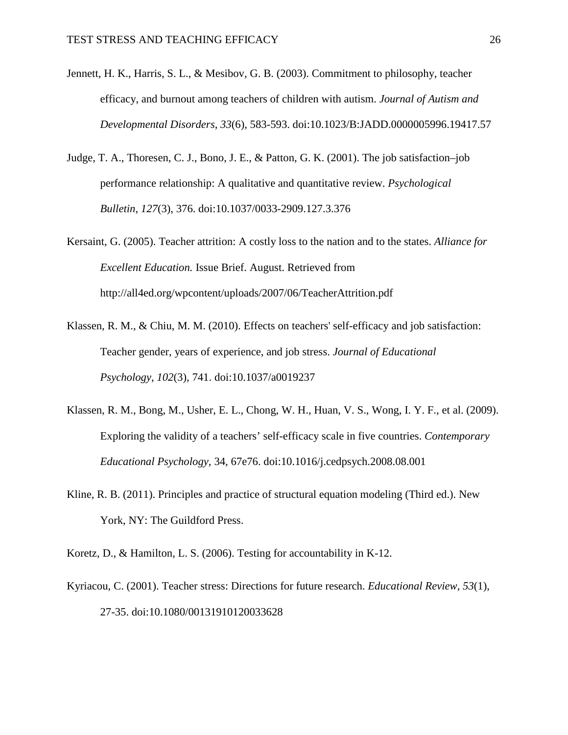- Jennett, H. K., Harris, S. L., & Mesibov, G. B. (2003). Commitment to philosophy, teacher efficacy, and burnout among teachers of children with autism. *Journal of Autism and Developmental Disorders*, *33*(6), 583-593. doi:10.1023/B:JADD.0000005996.19417.57
- Judge, T. A., Thoresen, C. J., Bono, J. E., & Patton, G. K. (2001). The job satisfaction–job performance relationship: A qualitative and quantitative review. *Psychological Bulletin*, *127*(3), 376. doi:10.1037/0033-2909.127.3.376
- Kersaint, G. (2005). Teacher attrition: A costly loss to the nation and to the states. *Alliance for Excellent Education.* Issue Brief. August. Retrieved from http://all4ed.org/wpcontent/uploads/2007/06/TeacherAttrition.pdf
- Klassen, R. M., & Chiu, M. M. (2010). Effects on teachers' self-efficacy and job satisfaction: Teacher gender, years of experience, and job stress. *Journal of Educational Psychology*, *102*(3), 741. doi:10.1037/a0019237
- Klassen, R. M., Bong, M., Usher, E. L., Chong, W. H., Huan, V. S., Wong, I. Y. F., et al. (2009). Exploring the validity of a teachers' self-efficacy scale in five countries. *Contemporary Educational Psychology,* 34, 67e76. doi:10.1016/j.cedpsych.2008.08.001
- Kline, R. B. (2011). Principles and practice of structural equation modeling (Third ed.). New York, NY: The Guildford Press.
- Koretz, D., & Hamilton, L. S. (2006). Testing for accountability in K-12.
- Kyriacou, C. (2001). Teacher stress: Directions for future research. *Educational Review*, *53*(1), 27-35. doi:10.1080/00131910120033628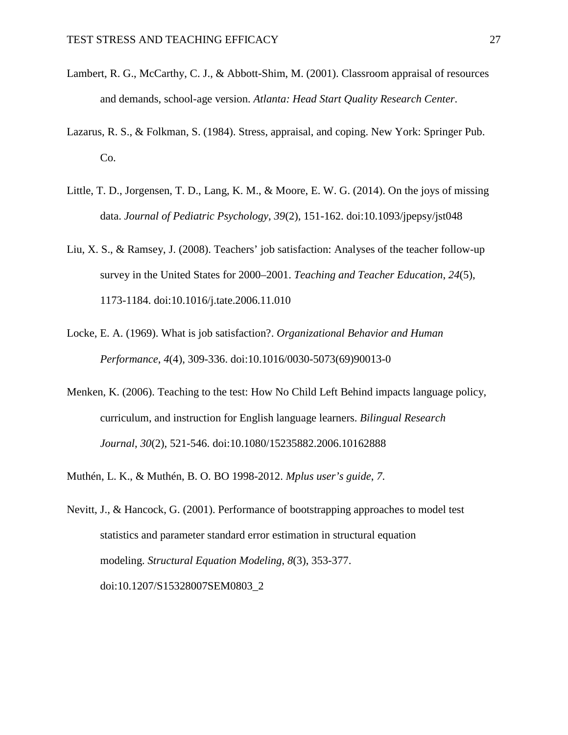- Lambert, R. G., McCarthy, C. J., & Abbott-Shim, M. (2001). Classroom appraisal of resources and demands, school-age version. *Atlanta: Head Start Quality Research Center*.
- Lazarus, R. S., & Folkman, S. (1984). Stress, appraisal, and coping. New York: Springer Pub. Co.
- Little, T. D., Jorgensen, T. D., Lang, K. M., & Moore, E. W. G. (2014). On the joys of missing data. *Journal of Pediatric Psychology, 39*(2)*,* 151-162. doi:10.1093/jpepsy/jst048
- Liu, X. S., & Ramsey, J. (2008). Teachers' job satisfaction: Analyses of the teacher follow-up survey in the United States for 2000–2001. *Teaching and Teacher Education*, *24*(5), 1173-1184. doi:10.1016/j.tate.2006.11.010
- Locke, E. A. (1969). What is job satisfaction?. *Organizational Behavior and Human Performance*, *4*(4), 309-336. doi:10.1016/0030-5073(69)90013-0
- Menken, K. (2006). Teaching to the test: How No Child Left Behind impacts language policy, curriculum, and instruction for English language learners. *Bilingual Research Journal*, *30*(2), 521-546. doi:10.1080/15235882.2006.10162888
- Muthén, L. K., & Muthén, B. O. BO 1998-2012. *Mplus user's guide*, *7*.
- Nevitt, J., & Hancock, G. (2001). Performance of bootstrapping approaches to model test statistics and parameter standard error estimation in structural equation modeling. *Structural Equation Modeling*, *8*(3), 353-377. doi:10.1207/S15328007SEM0803\_2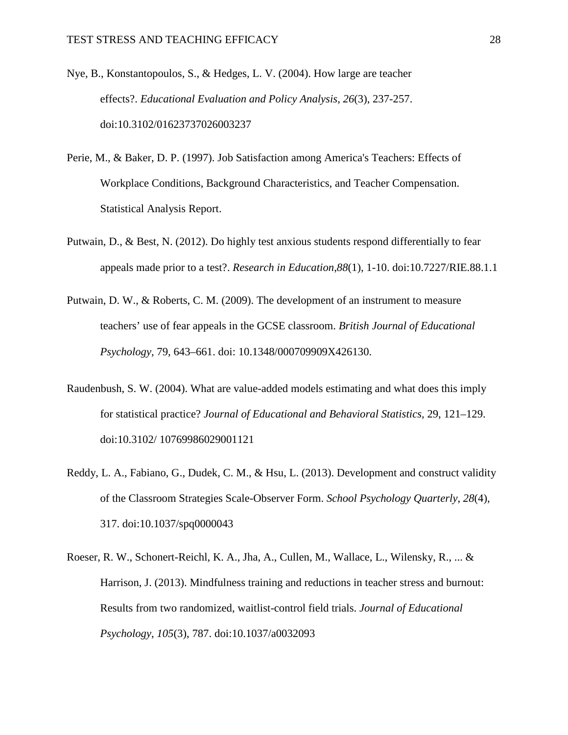- Nye, B., Konstantopoulos, S., & Hedges, L. V. (2004). How large are teacher effects?. *Educational Evaluation and Policy Analysis*, *26*(3), 237-257. doi:10.3102/01623737026003237
- Perie, M., & Baker, D. P. (1997). Job Satisfaction among America's Teachers: Effects of Workplace Conditions, Background Characteristics, and Teacher Compensation. Statistical Analysis Report.
- Putwain, D., & Best, N. (2012). Do highly test anxious students respond differentially to fear appeals made prior to a test?. *Research in Education*,*88*(1), 1-10. doi:10.7227/RIE.88.1.1
- Putwain, D. W., & Roberts, C. M. (2009). The development of an instrument to measure teachers' use of fear appeals in the GCSE classroom. *British Journal of Educational Psychology,* 79, 643–661. doi: 10.1348/000709909X426130.
- Raudenbush, S. W. (2004). What are value-added models estimating and what does this imply for statistical practice? *Journal of Educational and Behavioral Statistics,* 29, 121–129. doi:10.3102/ 10769986029001121
- Reddy, L. A., Fabiano, G., Dudek, C. M., & Hsu, L. (2013). Development and construct validity of the Classroom Strategies Scale-Observer Form. *School Psychology Quarterly*, *28*(4), 317. doi:10.1037/spq0000043
- Roeser, R. W., Schonert-Reichl, K. A., Jha, A., Cullen, M., Wallace, L., Wilensky, R., ... & Harrison, J. (2013). Mindfulness training and reductions in teacher stress and burnout: Results from two randomized, waitlist-control field trials. *Journal of Educational Psychology*, *105*(3), 787. doi:10.1037/a0032093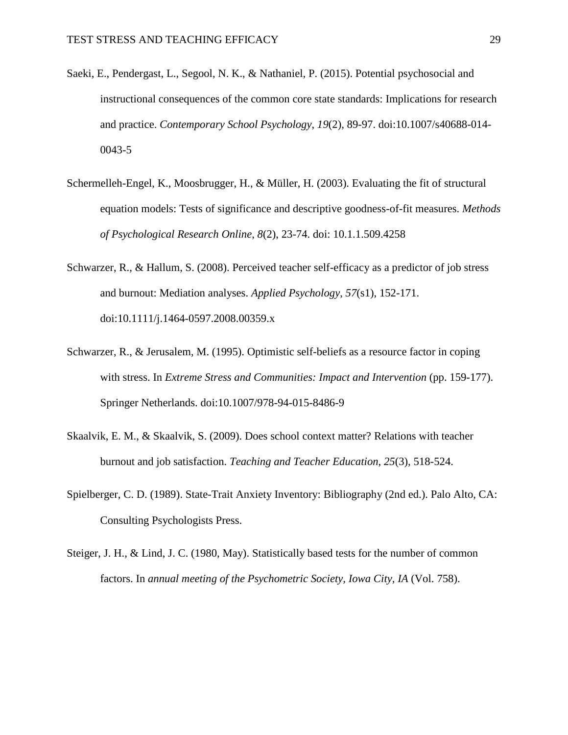- Saeki, E., Pendergast, L., Segool, N. K., & Nathaniel, P. (2015). Potential psychosocial and instructional consequences of the common core state standards: Implications for research and practice. *Contemporary School Psychology*, *19*(2), 89-97. doi:10.1007/s40688-014- 0043-5
- Schermelleh-Engel, K., Moosbrugger, H., & Müller, H. (2003). Evaluating the fit of structural equation models: Tests of significance and descriptive goodness-of-fit measures. *Methods of Psychological Research Online*, *8*(2), 23-74. doi: 10.1.1.509.4258
- Schwarzer, R., & Hallum, S. (2008). Perceived teacher self-efficacy as a predictor of job stress and burnout: Mediation analyses. *Applied Psychology*, *57*(s1), 152-171. doi:10.1111/j.1464-0597.2008.00359.x
- Schwarzer, R., & Jerusalem, M. (1995). Optimistic self-beliefs as a resource factor in coping with stress. In *Extreme Stress and Communities: Impact and Intervention* (pp. 159-177). Springer Netherlands. doi:10.1007/978-94-015-8486-9
- Skaalvik, E. M., & Skaalvik, S. (2009). Does school context matter? Relations with teacher burnout and job satisfaction. *Teaching and Teacher Education*, *25*(3), 518-524.
- Spielberger, C. D. (1989). State-Trait Anxiety Inventory: Bibliography (2nd ed.). Palo Alto, CA: Consulting Psychologists Press.
- Steiger, J. H., & Lind, J. C. (1980, May). Statistically based tests for the number of common factors. In *annual meeting of the Psychometric Society, Iowa City, IA* (Vol. 758).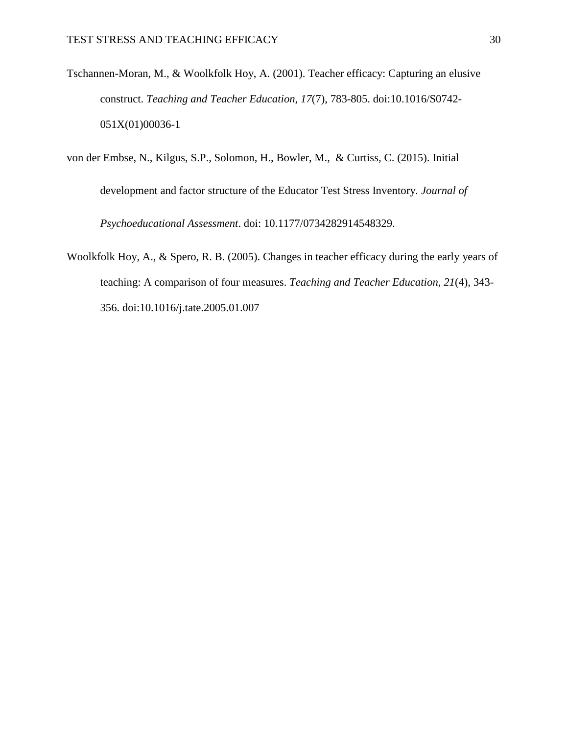Tschannen-Moran, M., & Woolkfolk Hoy, A. (2001). Teacher efficacy: Capturing an elusive construct. *Teaching and Teacher Education*, *17*(7), 783-805. doi:10.1016/S0742- 051X(01)00036-1

von der Embse, N., Kilgus, S.P., Solomon, H., Bowler, M., & Curtiss, C. (2015). Initial

development and factor structure of the Educator Test Stress Inventory*. Journal of Psychoeducational Assessment*. doi: 10.1177/0734282914548329.

Woolkfolk Hoy, A., & Spero, R. B. (2005). Changes in teacher efficacy during the early years of teaching: A comparison of four measures. *Teaching and Teacher Education*, *21*(4), 343- 356. doi:10.1016/j.tate.2005.01.007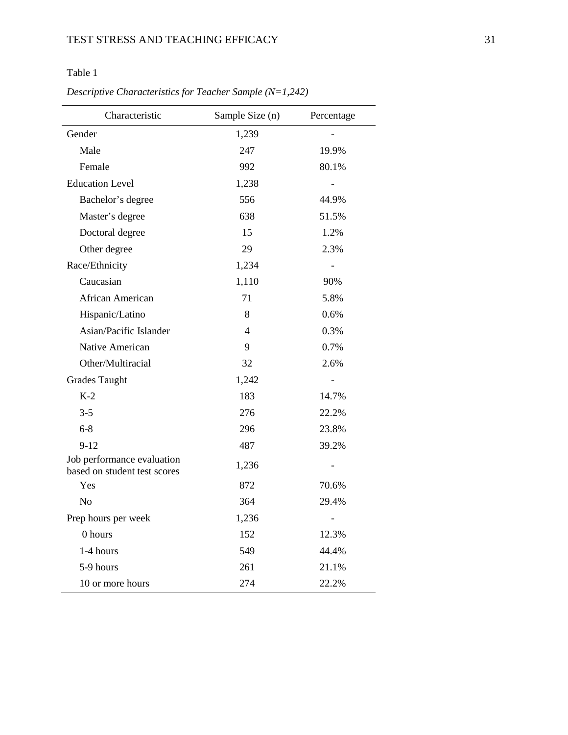| Descriptive Characteristics for Teacher Sample $(N=1,242)$ |
|------------------------------------------------------------|
|------------------------------------------------------------|

| Characteristic                                             | Sample Size (n) | Percentage     |
|------------------------------------------------------------|-----------------|----------------|
| Gender                                                     | 1,239           |                |
| Male                                                       | 247             | 19.9%          |
| Female                                                     | 992             | 80.1%          |
| <b>Education Level</b>                                     | 1,238           | $\overline{a}$ |
| Bachelor's degree                                          | 556             | 44.9%          |
| Master's degree                                            | 638             | 51.5%          |
| Doctoral degree                                            | 15              | 1.2%           |
| Other degree                                               | 29              | 2.3%           |
| Race/Ethnicity                                             | 1,234           |                |
| Caucasian                                                  | 1,110           | 90%            |
| African American                                           | 71              | 5.8%           |
| Hispanic/Latino                                            | 8               | 0.6%           |
| Asian/Pacific Islander                                     | 4               | 0.3%           |
| Native American                                            | 9               | 0.7%           |
| Other/Multiracial                                          | 32              | 2.6%           |
| <b>Grades Taught</b>                                       | 1,242           |                |
| $K-2$                                                      | 183             | 14.7%          |
| $3 - 5$                                                    | 276             | 22.2%          |
| $6 - 8$                                                    | 296             | 23.8%          |
| $9 - 12$                                                   | 487             | 39.2%          |
| Job performance evaluation<br>based on student test scores | 1,236           | -              |
| Yes                                                        | 872             | 70.6%          |
| N <sub>0</sub>                                             | 364             | 29.4%          |
| Prep hours per week                                        | 1,236           | $\overline{a}$ |
| 0 hours                                                    | 152             | 12.3%          |
| 1-4 hours                                                  | 549             | 44.4%          |
| 5-9 hours                                                  | 261             | 21.1%          |
| 10 or more hours                                           | 274             | 22.2%          |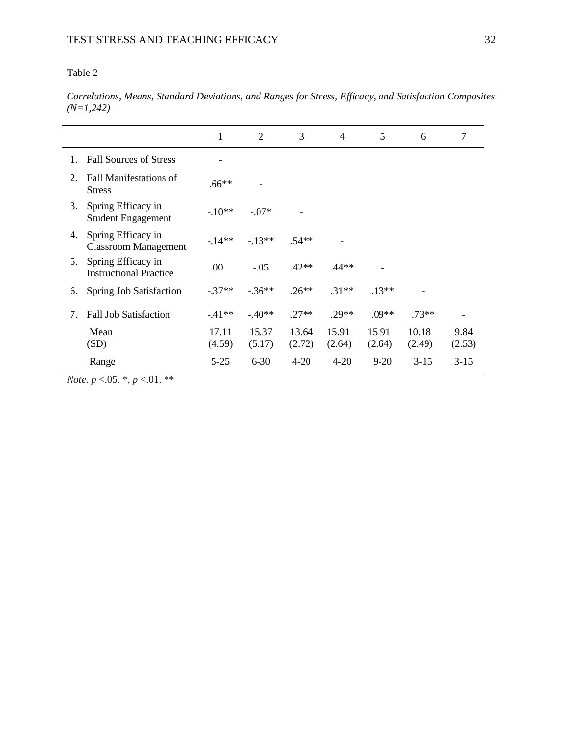*Correlations, Means, Standard Deviations, and Ranges for Stress, Efficacy, and Satisfaction Composites (N=1,242)*

|    |                                                     | 1               | 2               | 3               | $\overline{4}$  | 5               | 6               | 7              |
|----|-----------------------------------------------------|-----------------|-----------------|-----------------|-----------------|-----------------|-----------------|----------------|
| 1. | <b>Fall Sources of Stress</b>                       |                 |                 |                 |                 |                 |                 |                |
| 2. | <b>Fall Manifestations of</b><br><b>Stress</b>      | $.66**$         |                 |                 |                 |                 |                 |                |
| 3. | Spring Efficacy in<br><b>Student Engagement</b>     | $-10**$         | $-.07*$         |                 |                 |                 |                 |                |
| 4. | Spring Efficacy in<br><b>Classroom Management</b>   | $-14**$         | $-13**$         | $.54**$         |                 |                 |                 |                |
| 5. | Spring Efficacy in<br><b>Instructional Practice</b> | .00             | $-.05$          | $.42**$         | .44**           |                 |                 |                |
| 6. | Spring Job Satisfaction                             | $-.37**$        | $-.36**$        | $.26**$         | $.31**$         | $.13**$         |                 |                |
| 7. | <b>Fall Job Satisfaction</b>                        | $-41**$         | $-40**$         | $.27**$         | $.29**$         | $.09**$         | $.73**$         |                |
|    | Mean<br>(SD)                                        | 17.11<br>(4.59) | 15.37<br>(5.17) | 13.64<br>(2.72) | 15.91<br>(2.64) | 15.91<br>(2.64) | 10.18<br>(2.49) | 9.84<br>(2.53) |
|    | Range                                               | $5 - 25$        | $6 - 30$        | $4 - 20$        | $4 - 20$        | $9 - 20$        | $3-15$          | $3-15$         |

*Note*. *p* <.05. \*, *p* <.01. \*\*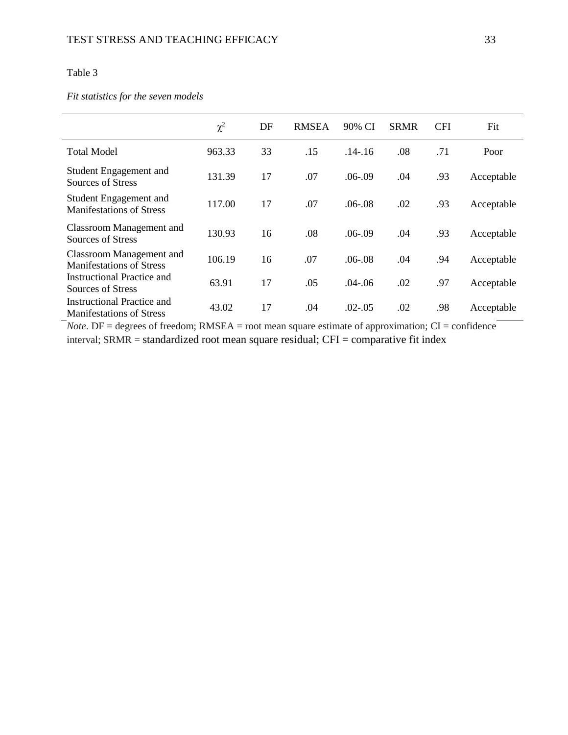### *Fit statistics for the seven models*

|                                                               | $\chi^2$ | DF | <b>RMSEA</b> | 90% CI      | <b>SRMR</b> | <b>CFI</b> | Fit        |
|---------------------------------------------------------------|----------|----|--------------|-------------|-------------|------------|------------|
| <b>Total Model</b>                                            | 963.33   | 33 | .15          | $.14 - .16$ | .08         | .71        | Poor       |
| Student Engagement and<br>Sources of Stress                   | 131.39   | 17 | .07          | $.06-09$    | .04         | .93        | Acceptable |
| Student Engagement and<br><b>Manifestations of Stress</b>     | 117.00   | 17 | .07          | $.06 - .08$ | .02         | .93        | Acceptable |
| Classroom Management and<br>Sources of Stress                 | 130.93   | 16 | .08          | $.06-09$    | .04         | .93        | Acceptable |
| Classroom Management and<br><b>Manifestations of Stress</b>   | 106.19   | 16 | .07          | $.06 - .08$ | .04         | .94        | Acceptable |
| <b>Instructional Practice and</b><br>Sources of Stress        | 63.91    | 17 | .05          | $.04 - 06$  | .02         | .97        | Acceptable |
| Instructional Practice and<br><b>Manifestations of Stress</b> | 43.02    | 17 | .04          | $.02 - .05$ | .02         | .98        | Acceptable |

*Note*. DF = degrees of freedom; RMSEA = root mean square estimate of approximation; CI = confidence interval; SRMR = standardized root mean square residual; CFI = comparative fit index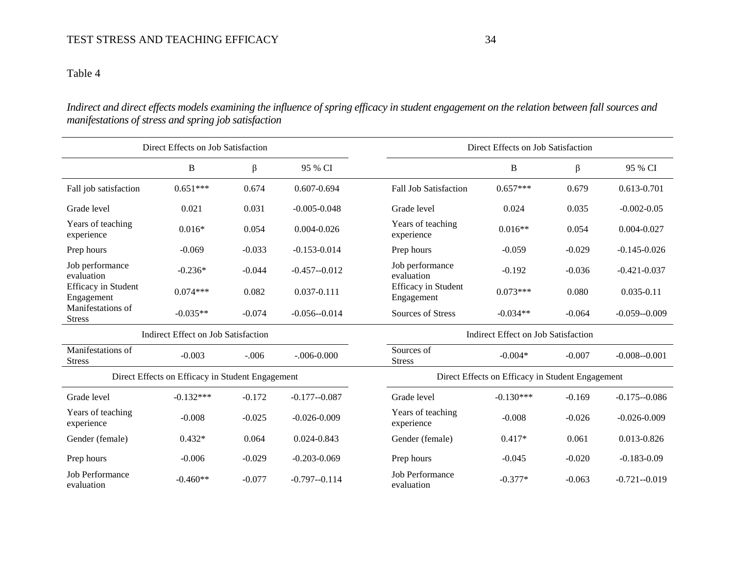*Indirect and direct effects models examining the influence of spring efficacy in student engagement on the relation between fall sources and manifestations of stress and spring job satisfaction*

|                                          | Direct Effects on Job Satisfaction               |          |                  | Direct Effects on Job Satisfaction               |                                     |          |                  |  |  |
|------------------------------------------|--------------------------------------------------|----------|------------------|--------------------------------------------------|-------------------------------------|----------|------------------|--|--|
|                                          | $\, {\bf B}$                                     | β        | 95 % CI          |                                                  | $\, {\bf B}$                        | β        | 95 % CI          |  |  |
| Fall job satisfaction                    | $0.651***$                                       | 0.674    | $0.607 - 0.694$  | <b>Fall Job Satisfaction</b>                     | $0.657***$                          | 0.679    | 0.613-0.701      |  |  |
| Grade level                              | 0.021                                            | 0.031    | $-0.005 - 0.048$ | Grade level                                      | 0.024                               | 0.035    | $-0.002 - 0.05$  |  |  |
| Years of teaching<br>experience          | $0.016*$                                         | 0.054    | $0.004 - 0.026$  | Years of teaching<br>experience                  | $0.016**$                           | 0.054    | $0.004 - 0.027$  |  |  |
| Prep hours                               | $-0.069$                                         | $-0.033$ | $-0.153 - 0.014$ | Prep hours                                       | $-0.059$                            | $-0.029$ | $-0.145 - 0.026$ |  |  |
| Job performance<br>evaluation            | $-0.236*$                                        | $-0.044$ | $-0.457 - 0.012$ | Job performance<br>evaluation                    | $-0.192$                            | $-0.036$ | $-0.421 - 0.037$ |  |  |
| <b>Efficacy</b> in Student<br>Engagement | $0.074***$                                       | 0.082    | 0.037-0.111      | <b>Efficacy</b> in Student<br>Engagement         | $0.073***$                          | 0.080    | $0.035 - 0.11$   |  |  |
| Manifestations of<br><b>Stress</b>       | $-0.035**$                                       | $-0.074$ | $-0.056 - 0.014$ | Sources of Stress                                | $-0.034**$                          | $-0.064$ | $-0.059 - 0.009$ |  |  |
|                                          | Indirect Effect on Job Satisfaction              |          |                  |                                                  | Indirect Effect on Job Satisfaction |          |                  |  |  |
| Manifestations of<br><b>Stress</b>       | $-0.003$                                         | $-.006$  | $-.006 - 0.000$  | Sources of<br><b>Stress</b>                      | $-0.004*$                           | $-0.007$ | $-0.008 - 0.001$ |  |  |
|                                          | Direct Effects on Efficacy in Student Engagement |          |                  | Direct Effects on Efficacy in Student Engagement |                                     |          |                  |  |  |
| Grade level                              | $-0.132***$                                      | $-0.172$ | $-0.177 - 0.087$ | Grade level                                      | $-0.130***$                         | $-0.169$ | $-0.175 - 0.086$ |  |  |
| Years of teaching<br>experience          | $-0.008$                                         | $-0.025$ | $-0.026 - 0.009$ | Years of teaching<br>experience                  | $-0.008$                            | $-0.026$ | $-0.026 - 0.009$ |  |  |
| Gender (female)                          | $0.432*$                                         | 0.064    | 0.024-0.843      | Gender (female)                                  | $0.417*$                            | 0.061    | 0.013-0.826      |  |  |
| Prep hours                               | $-0.006$                                         | $-0.029$ | $-0.203 - 0.069$ | Prep hours                                       | $-0.045$                            | $-0.020$ | $-0.183 - 0.09$  |  |  |
| <b>Job Performance</b><br>evaluation     | $-0.460**$                                       | $-0.077$ | $-0.797 - 0.114$ | <b>Job Performance</b><br>evaluation             | $-0.377*$                           | $-0.063$ | $-0.721 - 0.019$ |  |  |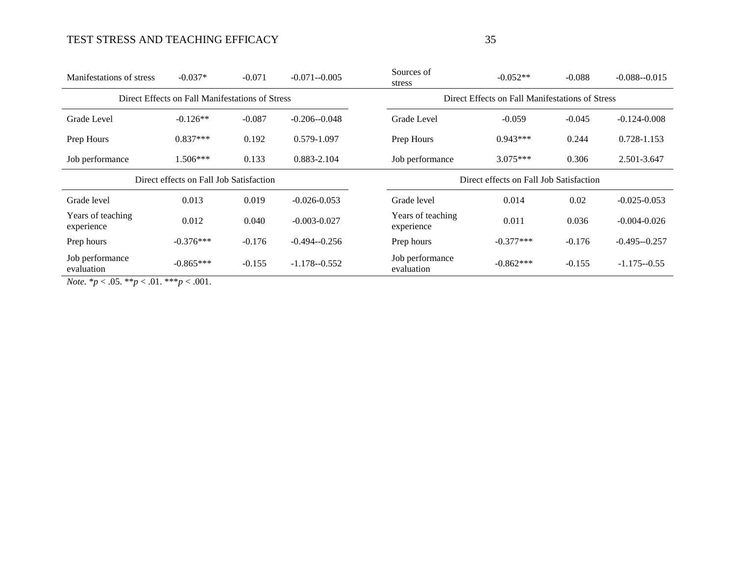| Manifestations of stress                                                                              | $-0.037*$                                       | $-0.071$ | $-0.071 - 0.005$ | Sources of<br>stress            | $-0.052**$                                      | $-0.088$ | $-0.088 - 0.015$ |  |  |  |
|-------------------------------------------------------------------------------------------------------|-------------------------------------------------|----------|------------------|---------------------------------|-------------------------------------------------|----------|------------------|--|--|--|
|                                                                                                       | Direct Effects on Fall Manifestations of Stress |          |                  |                                 | Direct Effects on Fall Manifestations of Stress |          |                  |  |  |  |
| Grade Level                                                                                           | $-0.126**$                                      | $-0.087$ | $-0.206 - 0.048$ | Grade Level                     | $-0.059$                                        | $-0.045$ | $-0.124 - 0.008$ |  |  |  |
| Prep Hours                                                                                            | $0.837***$                                      | 0.192    | 0.579-1.097      | Prep Hours                      | $0.943***$                                      | 0.244    | 0.728-1.153      |  |  |  |
| Job performance                                                                                       | $1.506***$                                      | 0.133    | 0.883-2.104      | Job performance                 | $3.075***$                                      | 0.306    | 2.501-3.647      |  |  |  |
|                                                                                                       | Direct effects on Fall Job Satisfaction         |          |                  |                                 | Direct effects on Fall Job Satisfaction         |          |                  |  |  |  |
| Grade level                                                                                           | 0.013                                           | 0.019    | $-0.026 - 0.053$ | Grade level                     | 0.014                                           | 0.02     | $-0.025 - 0.053$ |  |  |  |
| Years of teaching<br>experience                                                                       | 0.012                                           | 0.040    | $-0.003 - 0.027$ | Years of teaching<br>experience | 0.011                                           | 0.036    | $-0.004 - 0.026$ |  |  |  |
| Prep hours                                                                                            | $-0.376***$                                     | $-0.176$ | $-0.494 - 0.256$ | Prep hours                      | $-0.377***$                                     | $-0.176$ | $-0.495 - 0.257$ |  |  |  |
| Job performance<br>evaluation<br>$N_{\text{obs}}$ * $\approx 0.5$ ** $\approx 0.1$ *** $\approx 0.01$ | $-0.865***$                                     | $-0.155$ | $-1.178 - 0.552$ | Job performance<br>evaluation   | $-0.862***$                                     | $-0.155$ | $-1.175 - 0.55$  |  |  |  |

*Note.* \**p* < .05. \*\**p* < .01. \*\*\**p* < .001.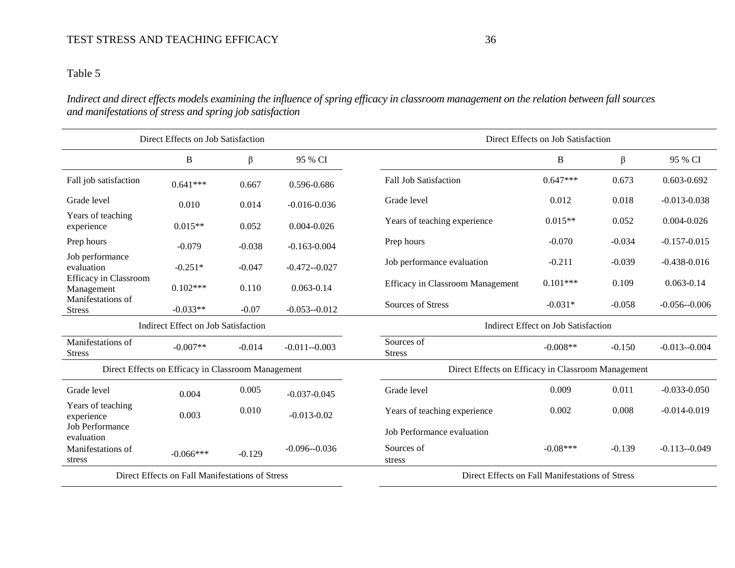# Table 5

*Indirect and direct effects models examining the influence of spring efficacy in classroom management on the relation between fall sources and manifestations of stress and spring job satisfaction*

|                                      | Direct Effects on Job Satisfaction                 |          |                  |                                         | Direct Effects on Job Satisfaction                 |          |                  |  |  |
|--------------------------------------|----------------------------------------------------|----------|------------------|-----------------------------------------|----------------------------------------------------|----------|------------------|--|--|
|                                      | B                                                  | β        | 95 % CI          |                                         | B                                                  | β        | 95 % CI          |  |  |
| Fall job satisfaction                | $0.641***$                                         | 0.667    | 0.596-0.686      | <b>Fall Job Satisfaction</b>            | $0.647***$                                         | 0.673    | $0.603 - 0.692$  |  |  |
| Grade level                          | 0.010                                              | 0.014    | $-0.016 - 0.036$ | Grade level                             | 0.012                                              | 0.018    | $-0.013 - 0.038$ |  |  |
| Years of teaching<br>experience      | $0.015**$                                          | 0.052    | $0.004 - 0.026$  | Years of teaching experience            | $0.015**$                                          | 0.052    | $0.004 - 0.026$  |  |  |
| Prep hours                           | $-0.079$                                           | $-0.038$ | $-0.163 - 0.004$ | Prep hours                              | $-0.070$                                           | $-0.034$ | $-0.157 - 0.015$ |  |  |
| Job performance<br>evaluation        | $-0.251*$                                          | $-0.047$ | $-0.472 - 0.027$ | Job performance evaluation              | $-0.211$                                           | $-0.039$ | $-0.438 - 0.016$ |  |  |
| Efficacy in Classroom<br>Management  | $0.102***$                                         | 0.110    | $0.063 - 0.14$   | <b>Efficacy in Classroom Management</b> | $0.101***$                                         | 0.109    | $0.063 - 0.14$   |  |  |
| Manifestations of<br><b>Stress</b>   | $-0.033**$                                         | $-0.07$  | $-0.053 - 0.012$ | Sources of Stress                       | $-0.031*$                                          | $-0.058$ | $-0.056 - 0.006$ |  |  |
|                                      | Indirect Effect on Job Satisfaction                |          |                  |                                         | Indirect Effect on Job Satisfaction                |          |                  |  |  |
| Manifestations of<br><b>Stress</b>   | $-0.007**$                                         | $-0.014$ | $-0.011 - 0.003$ | Sources of<br><b>Stress</b>             | $-0.008**$                                         | $-0.150$ | $-0.013 - 0.004$ |  |  |
|                                      | Direct Effects on Efficacy in Classroom Management |          |                  |                                         | Direct Effects on Efficacy in Classroom Management |          |                  |  |  |
| Grade level                          | 0.004                                              | 0.005    | $-0.037 - 0.045$ | Grade level                             | 0.009                                              | 0.011    | $-0.033 - 0.050$ |  |  |
| Years of teaching<br>experience      | 0.003                                              | 0.010    | $-0.013 - 0.02$  | Years of teaching experience            | 0.002                                              | 0.008    | $-0.014 - 0.019$ |  |  |
| <b>Job Performance</b><br>evaluation |                                                    |          |                  | Job Performance evaluation              |                                                    |          |                  |  |  |
| Manifestations of<br>stress          | $-0.066***$                                        | $-0.129$ | $-0.096 - 0.036$ | Sources of<br>stress                    | $-0.08***$                                         | $-0.139$ | $-0.113 - 0.049$ |  |  |
|                                      | Direct Effects on Fall Manifestations of Stress    |          |                  |                                         | Direct Effects on Fall Manifestations of Stress    |          |                  |  |  |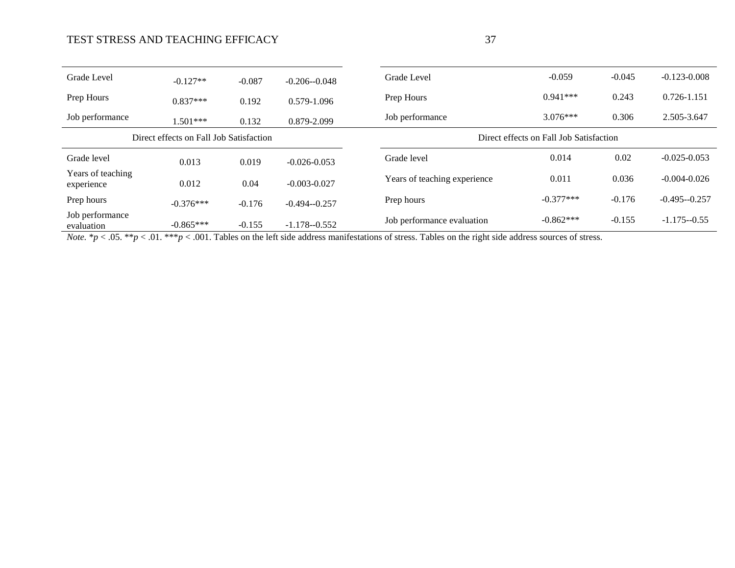| ٠                | e e<br>I |
|------------------|----------|
| ٦<br>I<br>٠<br>v |          |

| Grade Level                     | $-0.127**$                              | $-0.087$ | $-0.206 - 0.048$ | Grade Level                  | $-0.059$                                | $-0.045$ | $-0.123 - 0.008$ |
|---------------------------------|-----------------------------------------|----------|------------------|------------------------------|-----------------------------------------|----------|------------------|
| Prep Hours                      | $0.837***$                              | 0.192    | 0.579-1.096      | Prep Hours                   | $0.941***$                              | 0.243    | 0.726-1.151      |
| Job performance                 | $1.501***$                              | 0.132    | 0.879-2.099      | Job performance              | $3.076***$                              | 0.306    | 2.505-3.647      |
|                                 | Direct effects on Fall Job Satisfaction |          |                  |                              | Direct effects on Fall Job Satisfaction |          |                  |
| Grade level                     | 0.013                                   | 0.019    | $-0.026 - 0.053$ | Grade level                  | 0.014                                   | 0.02     | $-0.025 - 0.053$ |
| Years of teaching<br>experience | 0.012                                   | 0.04     | $-0.003 - 0.027$ | Years of teaching experience | 0.011                                   | 0.036    | $-0.004 - 0.026$ |
| Prep hours                      | $-0.376***$                             | $-0.176$ | $-0.494 - 0.257$ | Prep hours                   | $-0.377***$                             | $-0.176$ | $-0.495 - 0.257$ |
| Job performance<br>evaluation   | $-0.865***$                             | $-0.155$ | $-1.178 - 0.552$ | Job performance evaluation   | $-0.862***$                             | $-0.155$ | $-1.175 - 0.55$  |

*Note.*  $* p < .05$ .  $* p < .01$ .  $* * p < .001$ . Tables on the left side address manifestations of stress. Tables on the right side address sources of stress.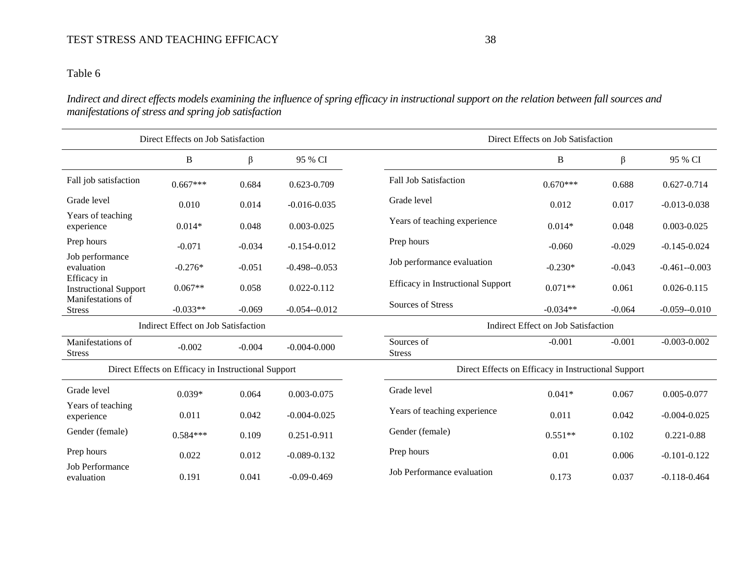# Table 6

*Indirect and direct effects models examining the influence of spring efficacy in instructional support on the relation between fall sources and manifestations of stress and spring job satisfaction*

|                                             | Direct Effects on Job Satisfaction                  |          |                  | Direct Effects on Job Satisfaction                  |            |          |                  |  |
|---------------------------------------------|-----------------------------------------------------|----------|------------------|-----------------------------------------------------|------------|----------|------------------|--|
|                                             | B                                                   | β        | 95 % CI          |                                                     | B          | β        | 95 % CI          |  |
| Fall job satisfaction                       | $0.667***$                                          | 0.684    | 0.623-0.709      | <b>Fall Job Satisfaction</b>                        | $0.670***$ | 0.688    | 0.627-0.714      |  |
| Grade level                                 | 0.010                                               | 0.014    | $-0.016 - 0.035$ | Grade level                                         | 0.012      | 0.017    | $-0.013 - 0.038$ |  |
| Years of teaching<br>experience             | $0.014*$                                            | 0.048    | $0.003 - 0.025$  | Years of teaching experience                        | $0.014*$   | 0.048    | $0.003 - 0.025$  |  |
| Prep hours                                  | $-0.071$                                            | $-0.034$ | $-0.154 - 0.012$ | Prep hours                                          | $-0.060$   | $-0.029$ | $-0.145 - 0.024$ |  |
| Job performance<br>evaluation               | $-0.276*$                                           | $-0.051$ | $-0.498 - 0.053$ | Job performance evaluation                          | $-0.230*$  | $-0.043$ | $-0.461 - 0.003$ |  |
| Efficacy in<br><b>Instructional Support</b> | $0.067**$                                           | 0.058    | $0.022 - 0.112$  | <b>Efficacy</b> in Instructional Support            | $0.071**$  | 0.061    | $0.026 - 0.115$  |  |
| Manifestations of<br><b>Stress</b>          | $-0.033**$                                          | $-0.069$ | $-0.054 - 0.012$ | Sources of Stress                                   | $-0.034**$ | $-0.064$ | $-0.059 - 0.010$ |  |
|                                             | Indirect Effect on Job Satisfaction                 |          |                  | Indirect Effect on Job Satisfaction                 |            |          |                  |  |
| Manifestations of<br><b>Stress</b>          | $-0.002$                                            | $-0.004$ | $-0.004 - 0.000$ | Sources of<br><b>Stress</b>                         | $-0.001$   | $-0.001$ | $-0.003 - 0.002$ |  |
|                                             | Direct Effects on Efficacy in Instructional Support |          |                  | Direct Effects on Efficacy in Instructional Support |            |          |                  |  |
| Grade level                                 | $0.039*$                                            | 0.064    | 0.003-0.075      | Grade level                                         | $0.041*$   | 0.067    | 0.005-0.077      |  |
| Years of teaching<br>experience             | 0.011                                               | 0.042    | $-0.004 - 0.025$ | Years of teaching experience                        | 0.011      | 0.042    | $-0.004 - 0.025$ |  |
| Gender (female)                             | $0.584***$                                          | 0.109    | 0.251-0.911      | Gender (female)                                     | $0.551**$  | 0.102    | $0.221 - 0.88$   |  |
| Prep hours                                  | 0.022                                               | 0.012    | $-0.089 - 0.132$ | Prep hours                                          | 0.01       | 0.006    | $-0.101 - 0.122$ |  |
| <b>Job Performance</b><br>evaluation        | 0.191                                               | 0.041    | $-0.09 - 0.469$  | Job Performance evaluation                          | 0.173      | 0.037    | $-0.118 - 0.464$ |  |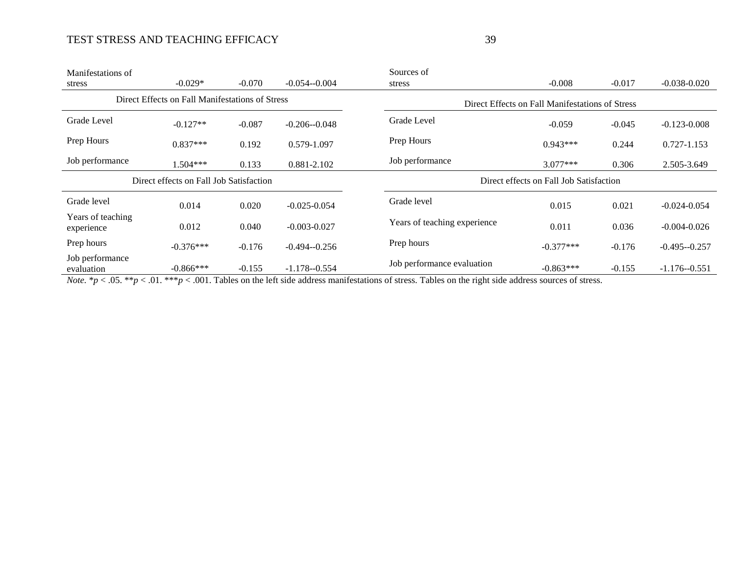| Manifestations of               |                                                 |          |                  | Sources of                                      |                                         |          |                  |
|---------------------------------|-------------------------------------------------|----------|------------------|-------------------------------------------------|-----------------------------------------|----------|------------------|
| stress                          | $-0.029*$                                       | $-0.070$ | $-0.054 - 0.004$ | stress                                          | $-0.008$                                | $-0.017$ | $-0.038 - 0.020$ |
|                                 | Direct Effects on Fall Manifestations of Stress |          |                  | Direct Effects on Fall Manifestations of Stress |                                         |          |                  |
| Grade Level                     | $-0.127**$                                      | $-0.087$ | $-0.206 - 0.048$ | Grade Level                                     | $-0.059$                                | $-0.045$ | $-0.123 - 0.008$ |
| Prep Hours                      | $0.837***$                                      | 0.192    | 0.579-1.097      | Prep Hours                                      | $0.943***$                              | 0.244    | 0.727-1.153      |
| Job performance                 | $1.504***$                                      | 0.133    | 0.881-2.102      | Job performance                                 | $3.077***$                              | 0.306    | 2.505-3.649      |
|                                 |                                                 |          |                  |                                                 |                                         |          |                  |
|                                 | Direct effects on Fall Job Satisfaction         |          |                  |                                                 | Direct effects on Fall Job Satisfaction |          |                  |
| Grade level                     | 0.014                                           | 0.020    | $-0.025 - 0.054$ | Grade level                                     | 0.015                                   | 0.021    | $-0.024 - 0.054$ |
| Years of teaching<br>experience | 0.012                                           | 0.040    | $-0.003 - 0.027$ | Years of teaching experience                    | 0.011                                   | 0.036    | $-0.004 - 0.026$ |
| Prep hours                      | $-0.376***$                                     | $-0.176$ | $-0.494 - 0.256$ | Prep hours                                      | $-0.377***$                             | $-0.176$ | $-0.495 - 0.257$ |

*Note.*  $* p < .05.$   $* p < .01.$   $* \cdot p < .001$ . Tables on the left side address manifestations of stress. Tables on the right side address sources of stress.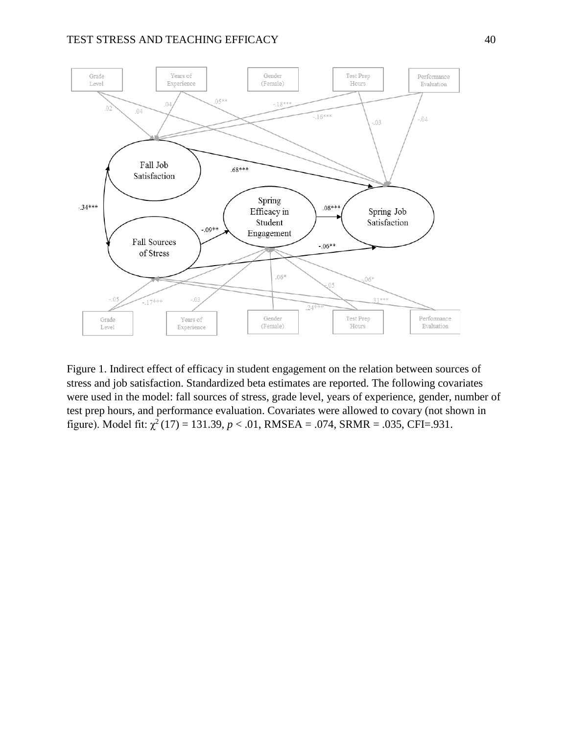

Figure 1. Indirect effect of efficacy in student engagement on the relation between sources of stress and job satisfaction. Standardized beta estimates are reported. The following covariates were used in the model: fall sources of stress, grade level, years of experience, gender, number of test prep hours, and performance evaluation. Covariates were allowed to covary (not shown in figure). Model fit:  $\chi^2(17) = 131.39$ ,  $p < .01$ , RMSEA = .074, SRMR = .035, CFI=.931.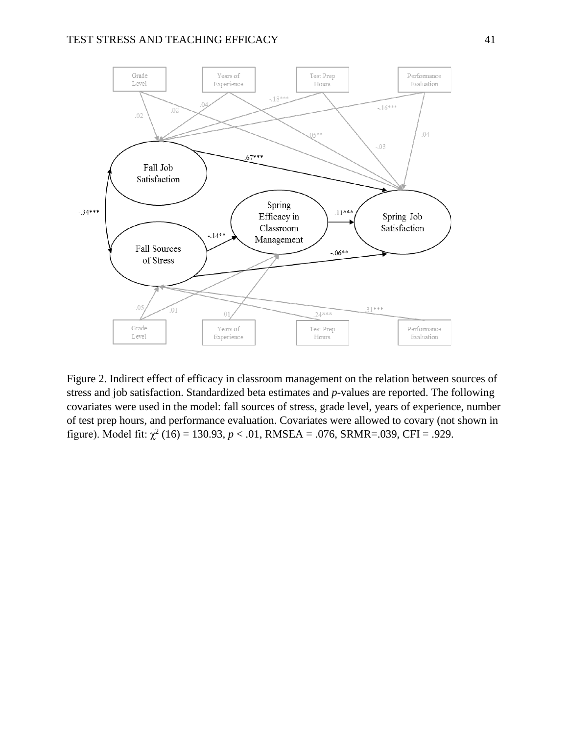

Figure 2. Indirect effect of efficacy in classroom management on the relation between sources of stress and job satisfaction. Standardized beta estimates and *p*-values are reported. The following covariates were used in the model: fall sources of stress, grade level, years of experience, number of test prep hours, and performance evaluation. Covariates were allowed to covary (not shown in figure). Model fit:  $\chi^2$  (16) = 130.93,  $p < .01$ , RMSEA = .076, SRMR=.039, CFI = .929.